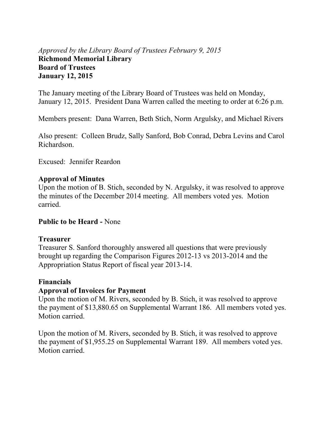## *Approved by the Library Board of Trustees February 9, 2015*  **Richmond Memorial Library Board of Trustees January 12, 2015**

The January meeting of the Library Board of Trustees was held on Monday, January 12, 2015. President Dana Warren called the meeting to order at 6:26 p.m.

Members present: Dana Warren, Beth Stich, Norm Argulsky, and Michael Rivers

Also present: Colleen Brudz, Sally Sanford, Bob Conrad, Debra Levins and Carol Richardson.

Excused: Jennifer Reardon

### **Approval of Minutes**

Upon the motion of B. Stich, seconded by N. Argulsky, it was resolved to approve the minutes of the December 2014 meeting. All members voted yes. Motion carried.

## **Public to be Heard -** None

## **Treasurer**

Treasurer S. Sanford thoroughly answered all questions that were previously brought up regarding the Comparison Figures 2012-13 vs 2013-2014 and the Appropriation Status Report of fiscal year 2013-14.

## **Financials**

## **Approval of Invoices for Payment**

Upon the motion of M. Rivers, seconded by B. Stich, it was resolved to approve the payment of \$13,880.65 on Supplemental Warrant 186. All members voted yes. Motion carried.

Upon the motion of M. Rivers, seconded by B. Stich, it was resolved to approve the payment of \$1,955.25 on Supplemental Warrant 189. All members voted yes. Motion carried.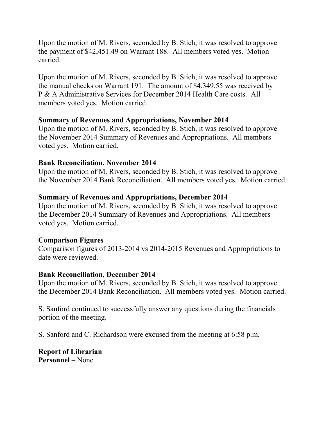Upon the motion of M. Rivers, seconded by B. Stich, it was resolved to approve the payment of \$42,451.49 on Warrant 188. All members voted yes. Motion carried.

Upon the motion of M. Rivers, seconded by B. Stich, it was resolved to approve the manual checks on Warrant 191. The amount of \$4,349.55 was received by P & A Administrative Services for December 2014 Health Care costs. All members voted yes. Motion carried.

## **Summary of Revenues and Appropriations, November 2014**

Upon the motion of M. Rivers, seconded by B. Stich, it was resolved to approve the November 2014 Summary of Revenues and Appropriations. All members voted yes. Motion carried.

## **Bank Reconciliation, November 2014**

Upon the motion of M. Rivers, seconded by B. Stich, it was resolved to approve the November 2014 Bank Reconciliation. All members voted yes. Motion carried.

## **Summary of Revenues and Appropriations, December 2014**

Upon the motion of M. Rivers, seconded by B. Stich, it was resolved to approve the December 2014 Summary of Revenues and Appropriations. All members voted yes. Motion carried.

## **Comparison Figures**

Comparison figures of 2013-2014 vs 2014-2015 Revenues and Appropriations to date were reviewed.

## **Bank Reconciliation, December 2014**

Upon the motion of M. Rivers, seconded by B. Stich, it was resolved to approve the December 2014 Bank Reconciliation. All members voted yes. Motion carried.

S. Sanford continued to successfully answer any questions during the financials portion of the meeting.

S. Sanford and C. Richardson were excused from the meeting at 6:58 p.m.

**Report of Librarian Personnel** – None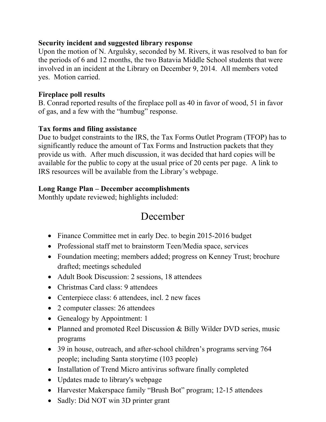## **Security incident and suggested library response**

Upon the motion of N. Argulsky, seconded by M. Rivers, it was resolved to ban for the periods of 6 and 12 months, the two Batavia Middle School students that were involved in an incident at the Library on December 9, 2014. All members voted yes. Motion carried.

## **Fireplace poll results**

B. Conrad reported results of the fireplace poll as 40 in favor of wood, 51 in favor of gas, and a few with the "humbug" response.

## **Tax forms and filing assistance**

Due to budget constraints to the IRS, the Tax Forms Outlet Program (TFOP) has to significantly reduce the amount of Tax Forms and Instruction packets that they provide us with. After much discussion, it was decided that hard copies will be available for the public to copy at the usual price of 20 cents per page. A link to IRS resources will be available from the Library's webpage.

## **Long Range Plan – December accomplishments**

Monthly update reviewed; highlights included:

# December

- Finance Committee met in early Dec. to begin 2015-2016 budget
- Professional staff met to brainstorm Teen/Media space, services
- Foundation meeting; members added; progress on Kenney Trust; brochure drafted; meetings scheduled
- Adult Book Discussion: 2 sessions, 18 attendees
- Christmas Card class: 9 attendees
- Centerpiece class: 6 attendees, incl. 2 new faces
- 2 computer classes: 26 attendees
- Genealogy by Appointment: 1
- Planned and promoted Reel Discussion & Billy Wilder DVD series, music programs
- 39 in house, outreach, and after-school children's programs serving 764 people; including Santa storytime (103 people)
- Installation of Trend Micro antivirus software finally completed
- Updates made to library's webpage
- Harvester Makerspace family "Brush Bot" program; 12-15 attendees
- Sadly: Did NOT win 3D printer grant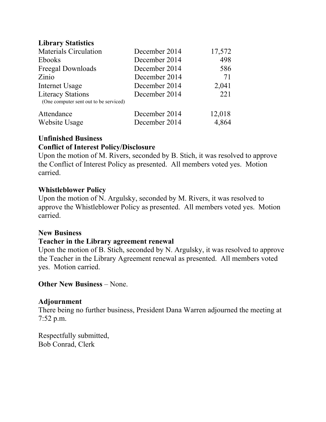## **Library Statistics**

| <b>Materials Circulation</b>                                       | December 2014 | 17,572 |
|--------------------------------------------------------------------|---------------|--------|
| Ebooks                                                             | December 2014 | 498    |
| Freegal Downloads                                                  | December 2014 | 586    |
| Zinio                                                              | December 2014 | 71     |
| Internet Usage                                                     | December 2014 | 2,041  |
| <b>Literacy Stations</b><br>(One computer sent out to be serviced) | December 2014 | 221    |
| Attendance                                                         | December 2014 | 12,018 |
| Website Usage                                                      | December 2014 | 4,864  |

### **Unfinished Business Conflict of Interest Policy/Disclosure**

Upon the motion of M. Rivers, seconded by B. Stich, it was resolved to approve the Conflict of Interest Policy as presented. All members voted yes. Motion carried.

### **Whistleblower Policy**

Upon the motion of N. Argulsky, seconded by M. Rivers, it was resolved to approve the Whistleblower Policy as presented. All members voted yes. Motion carried.

### **New Business**

### **Teacher in the Library agreement renewal**

Upon the motion of B. Stich, seconded by N. Argulsky, it was resolved to approve the Teacher in the Library Agreement renewal as presented. All members voted yes. Motion carried.

**Other New Business** – None.

### **Adjournment**

There being no further business, President Dana Warren adjourned the meeting at 7:52 p.m.

Respectfully submitted, Bob Conrad, Clerk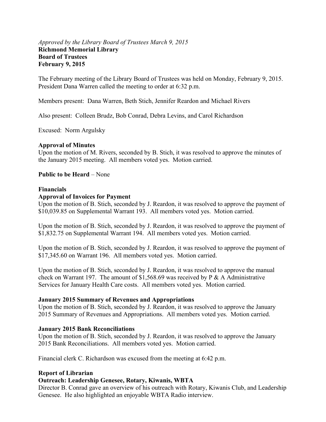### *Approved by the Library Board of Trustees March 9, 2015*  **Richmond Memorial Library Board of Trustees February 9, 2015**

The February meeting of the Library Board of Trustees was held on Monday, February 9, 2015. President Dana Warren called the meeting to order at 6:32 p.m.

Members present: Dana Warren, Beth Stich, Jennifer Reardon and Michael Rivers

Also present: Colleen Brudz, Bob Conrad, Debra Levins, and Carol Richardson

Excused: Norm Argulsky

#### **Approval of Minutes**

Upon the motion of M. Rivers, seconded by B. Stich, it was resolved to approve the minutes of the January 2015 meeting. All members voted yes. Motion carried.

**Public to be Heard** – None

#### **Financials**

#### **Approval of Invoices for Payment**

Upon the motion of B. Stich, seconded by J. Reardon, it was resolved to approve the payment of \$10,039.85 on Supplemental Warrant 193. All members voted yes. Motion carried.

Upon the motion of B. Stich, seconded by J. Reardon, it was resolved to approve the payment of \$1,832.75 on Supplemental Warrant 194. All members voted yes. Motion carried.

Upon the motion of B. Stich, seconded by J. Reardon, it was resolved to approve the payment of \$17,345.60 on Warrant 196. All members voted yes. Motion carried.

Upon the motion of B. Stich, seconded by J. Reardon, it was resolved to approve the manual check on Warrant 197. The amount of \$1,568.69 was received by P & A Administrative Services for January Health Care costs. All members voted yes. Motion carried.

#### **January 2015 Summary of Revenues and Appropriations**

Upon the motion of B. Stich, seconded by J. Reardon, it was resolved to approve the January 2015 Summary of Revenues and Appropriations. All members voted yes. Motion carried.

### **January 2015 Bank Reconciliations**

Upon the motion of B. Stich, seconded by J. Reardon, it was resolved to approve the January 2015 Bank Reconciliations. All members voted yes. Motion carried.

Financial clerk C. Richardson was excused from the meeting at 6:42 p.m.

#### **Report of Librarian**

### **Outreach: Leadership Genesee, Rotary, Kiwanis, WBTA**

Director B. Conrad gave an overview of his outreach with Rotary, Kiwanis Club, and Leadership Genesee. He also highlighted an enjoyable WBTA Radio interview.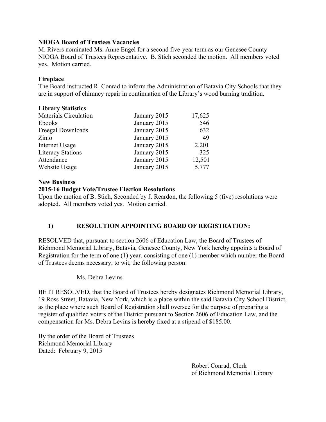### **NIOGA Board of Trustees Vacancies**

M. Rivers nominated Ms. Anne Engel for a second five-year term as our Genesee County NIOGA Board of Trustees Representative. B. Stich seconded the motion. All members voted yes. Motion carried.

### **Fireplace**

The Board instructed R. Conrad to inform the Administration of Batavia City Schools that they are in support of chimney repair in continuation of the Library's wood burning tradition.

### **Library Statistics**

| <b>Materials Circulation</b> | January 2015 | 17,625 |
|------------------------------|--------------|--------|
| Ebooks                       | January 2015 | 546    |
| Freegal Downloads            | January 2015 | 632    |
| Zinio                        | January 2015 | 49     |
| Internet Usage               | January 2015 | 2,201  |
| <b>Literacy Stations</b>     | January 2015 | 325    |
| Attendance                   | January 2015 | 12,501 |
| Website Usage                | January 2015 | 5,777  |

### **New Business**

### **2015-16 Budget Vote/Trustee Election Resolutions**

Upon the motion of B. Stich, Seconded by J. Reardon, the following 5 (five) resolutions were adopted. All members voted yes. Motion carried.

### **1) RESOLUTION APPOINTING BOARD OF REGISTRATION:**

RESOLVED that, pursuant to section 2606 of Education Law, the Board of Trustees of Richmond Memorial Library, Batavia, Genesee County, New York hereby appoints a Board of Registration for the term of one (1) year, consisting of one (1) member which number the Board of Trustees deems necessary, to wit, the following person:

### Ms. Debra Levins

BE IT RESOLVED, that the Board of Trustees hereby designates Richmond Memorial Library, 19 Ross Street, Batavia, New York, which is a place within the said Batavia City School District, as the place where such Board of Registration shall oversee for the purpose of preparing a register of qualified voters of the District pursuant to Section 2606 of Education Law, and the compensation for Ms. Debra Levins is hereby fixed at a stipend of \$185.00.

By the order of the Board of Trustees Richmond Memorial Library Dated: February 9, 2015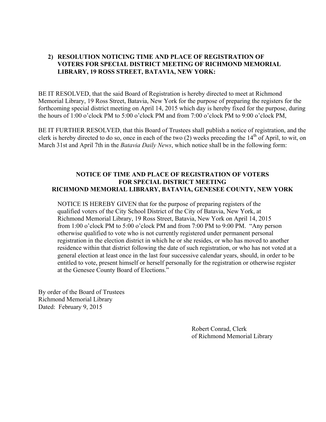### **2) RESOLUTION NOTICING TIME AND PLACE OF REGISTRATION OF VOTERS FOR SPECIAL DISTRICT MEETING OF RICHMOND MEMORIAL LIBRARY, 19 ROSS STREET, BATAVIA, NEW YORK:**

BE IT RESOLVED, that the said Board of Registration is hereby directed to meet at Richmond Memorial Library, 19 Ross Street, Batavia, New York for the purpose of preparing the registers for the forthcoming special district meeting on April 14, 2015 which day is hereby fixed for the purpose, during the hours of 1:00 o'clock PM to 5:00 o'clock PM and from 7:00 o'clock PM to 9:00 o'clock PM,

BE IT FURTHER RESOLVED, that this Board of Trustees shall publish a notice of registration, and the clerk is hereby directed to do so, once in each of the two  $(2)$  weeks preceding the  $14<sup>th</sup>$  of April, to wit, on March 31st and April 7th in the *Batavia Daily News*, which notice shall be in the following form:

### **NOTICE OF TIME AND PLACE OF REGISTRATION OF VOTERS FOR SPECIAL DISTRICT MEETING RICHMOND MEMORIAL LIBRARY, BATAVIA, GENESEE COUNTY, NEW YORK**

NOTICE IS HEREBY GIVEN that for the purpose of preparing registers of the qualified voters of the City School District of the City of Batavia, New York, at Richmond Memorial Library, 19 Ross Street, Batavia, New York on April 14, 2015 from 1:00 o'clock PM to 5:00 o'clock PM and from 7:00 PM to 9:00 PM. "Any person otherwise qualified to vote who is not currently registered under permanent personal registration in the election district in which he or she resides, or who has moved to another residence within that district following the date of such registration, or who has not voted at a general election at least once in the last four successive calendar years, should, in order to be entitled to vote, present himself or herself personally for the registration or otherwise register at the Genesee County Board of Elections."

By order of the Board of Trustees Richmond Memorial Library Dated: February 9, 2015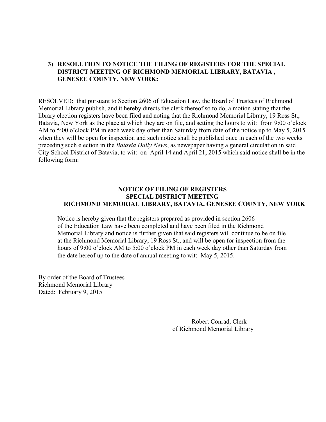### **3) RESOLUTION TO NOTICE THE FILING OF REGISTERS FOR THE SPECIAL DISTRICT MEETING OF RICHMOND MEMORIAL LIBRARY, BATAVIA , GENESEE COUNTY, NEW YORK:**

RESOLVED: that pursuant to Section 2606 of Education Law, the Board of Trustees of Richmond Memorial Library publish, and it hereby directs the clerk thereof so to do, a motion stating that the library election registers have been filed and noting that the Richmond Memorial Library, 19 Ross St., Batavia, New York as the place at which they are on file, and setting the hours to wit: from 9:00 o'clock AM to 5:00 o'clock PM in each week day other than Saturday from date of the notice up to May 5, 2015 when they will be open for inspection and such notice shall be published once in each of the two weeks preceding such election in the *Batavia Daily News*, as newspaper having a general circulation in said City School District of Batavia, to wit: on April 14 and April 21, 2015 which said notice shall be in the following form:

### **NOTICE OF FILING OF REGISTERS SPECIAL DISTRICT MEETING RICHMOND MEMORIAL LIBRARY, BATAVIA, GENESEE COUNTY, NEW YORK**

 Notice is hereby given that the registers prepared as provided in section 2606 of the Education Law have been completed and have been filed in the Richmond Memorial Library and notice is further given that said registers will continue to be on file at the Richmond Memorial Library, 19 Ross St., and will be open for inspection from the hours of 9:00 o'clock AM to 5:00 o'clock PM in each week day other than Saturday from the date hereof up to the date of annual meeting to wit: May 5, 2015.

By order of the Board of Trustees Richmond Memorial Library Dated: February 9, 2015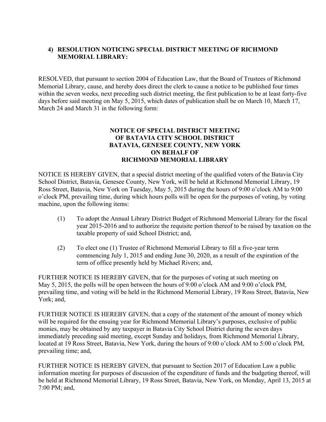### **4) RESOLUTION NOTICING SPECIAL DISTRICT MEETING OF RICHMOND MEMORIAL LIBRARY:**

RESOLVED, that pursuant to section 2004 of Education Law, that the Board of Trustees of Richmond Memorial Library, cause, and hereby does direct the clerk to cause a notice to be published four times within the seven weeks, next preceding such district meeting, the first publication to be at least forty-five days before said meeting on May 5, 2015, which dates of publication shall be on March 10, March 17, March 24 and March 31 in the following form:

### **NOTICE OF SPECIAL DISTRICT MEETING OF BATAVIA CITY SCHOOL DISTRICT BATAVIA, GENESEE COUNTY, NEW YORK ON BEHALF OF RICHMOND MEMORIAL LIBRARY**

NOTICE IS HEREBY GIVEN, that a special district meeting of the qualified voters of the Batavia City School District, Batavia, Genesee County, New York, will be held at Richmond Memorial Library, 19 Ross Street, Batavia, New York on Tuesday, May 5, 2015 during the hours of 9:00 o'clock AM to 9:00 o'clock PM, prevailing time, during which hours polls will be open for the purposes of voting, by voting machine, upon the following items:

- (1) To adopt the Annual Library District Budget of Richmond Memorial Library for the fiscal year 2015-2016 and to authorize the requisite portion thereof to be raised by taxation on the taxable property of said School District; and,
- (2) To elect one (1) Trustee of Richmond Memorial Library to fill a five-year term commencing July 1, 2015 and ending June 30, 2020, as a result of the expiration of the term of office presently held by Michael Rivers; and,

FURTHER NOTICE IS HEREBY GIVEN, that for the purposes of voting at such meeting on May 5, 2015, the polls will be open between the hours of 9:00 o'clock AM and 9:00 o'clock PM, prevailing time, and voting will be held in the Richmond Memorial Library, 19 Ross Street, Batavia, New York; and,

FURTHER NOTICE IS HEREBY GIVEN, that a copy of the statement of the amount of money which will be required for the ensuing year for Richmond Memorial Library's purposes, exclusive of public monies, may be obtained by any taxpayer in Batavia City School District during the seven days immediately preceding said meeting, except Sunday and holidays, from Richmond Memorial Library, located at 19 Ross Street, Batavia, New York, during the hours of 9:00 o'clock AM to 5:00 o'clock PM, prevailing time; and,

FURTHER NOTICE IS HEREBY GIVEN, that pursuant to Section 2017 of Education Law a public information meeting for purposes of discussion of the expenditure of funds and the budgeting thereof, will be held at Richmond Memorial Library, 19 Ross Street, Batavia, New York, on Monday, April 13, 2015 at 7:00 PM; and,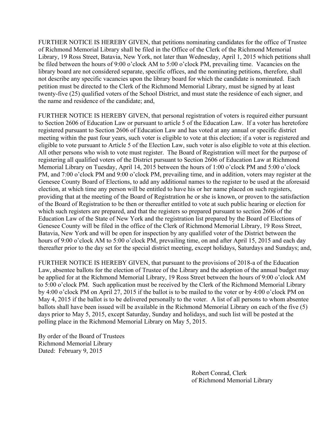FURTHER NOTICE IS HEREBY GIVEN, that petitions nominating candidates for the office of Trustee of Richmond Memorial Library shall be filed in the Office of the Clerk of the Richmond Memorial Library, 19 Ross Street, Batavia, New York, not later than Wednesday, April 1, 2015 which petitions shall be filed between the hours of 9:00 o'clock AM to 5:00 o'clock PM, prevailing time. Vacancies on the library board are not considered separate, specific offices, and the nominating petitions, therefore, shall not describe any specific vacancies upon the library board for which the candidate is nominated. Each petition must be directed to the Clerk of the Richmond Memorial Library, must be signed by at least twenty-five (25) qualified voters of the School District, and must state the residence of each signer, and the name and residence of the candidate; and,

FURTHER NOTICE IS HEREBY GIVEN, that personal registration of voters is required either pursuant to Section 2606 of Education Law or pursuant to article 5 of the Education Law. If a voter has heretofore registered pursuant to Section 2606 of Education Law and has voted at any annual or specific district meeting within the past four years, such voter is eligible to vote at this election; if a voter is registered and eligible to vote pursuant to Article 5 of the Election Law, such voter is also eligible to vote at this election. All other persons who wish to vote must register. The Board of Registration will meet for the purpose of registering all qualified voters of the District pursuant to Section 2606 of Education Law at Richmond Memorial Library on Tuesday, April 14, 2015 between the hours of 1:00 o'clock PM and 5:00 o'clock PM, and 7:00 o'clock PM and 9:00 o'clock PM, prevailing time, and in addition, voters may register at the Genesee County Board of Elections, to add any additional names to the register to be used at the aforesaid election, at which time any person will be entitled to have his or her name placed on such registers, providing that at the meeting of the Board of Registration he or she is known, or proven to the satisfaction of the Board of Registration to be then or thereafter entitled to vote at such public hearing or election for which such registers are prepared, and that the registers so prepared pursuant to section 2606 of the Education Law of the State of New York and the registration list prepared by the Board of Elections of Genesee County will be filed in the office of the Clerk of Richmond Memorial Library, 19 Ross Street, Batavia, New York and will be open for inspection by any qualified voter of the District between the hours of 9:00 o'clock AM to 5:00 o'clock PM, prevailing time, on and after April 15, 2015 and each day thereafter prior to the day set for the special district meeting, except holidays, Saturdays and Sundays; and,

FURTHER NOTICE IS HEREBY GIVEN, that pursuant to the provisions of 2018-a of the Education Law, absentee ballots for the election of Trustee of the Library and the adoption of the annual budget may be applied for at the Richmond Memorial Library, 19 Ross Street between the hours of 9:00 o'clock AM to 5:00 o'clock PM. Such application must be received by the Clerk of the Richmond Memorial Library by 4:00 o'clock PM on April 27, 2015 if the ballot is to be mailed to the voter or by 4:00 o'clock PM on May 4, 2015 if the ballot is to be delivered personally to the voter. A list of all persons to whom absentee ballots shall have been issued will be available in the Richmond Memorial Library on each of the five (5) days prior to May 5, 2015, except Saturday, Sunday and holidays, and such list will be posted at the polling place in the Richmond Memorial Library on May 5, 2015.

By order of the Board of Trustees Richmond Memorial Library Dated: February 9, 2015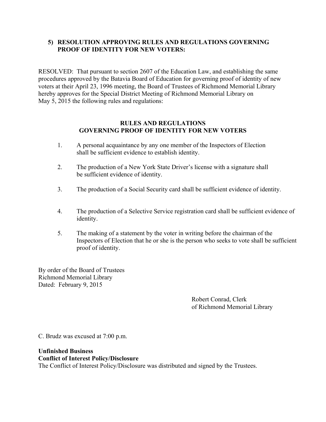### **5) RESOLUTION APPROVING RULES AND REGULATIONS GOVERNING PROOF OF IDENTITY FOR NEW VOTERS:**

RESOLVED: That pursuant to section 2607 of the Education Law, and establishing the same procedures approved by the Batavia Board of Education for governing proof of identity of new voters at their April 23, 1996 meeting, the Board of Trustees of Richmond Memorial Library hereby approves for the Special District Meeting of Richmond Memorial Library on May 5, 2015 the following rules and regulations:

### **RULES AND REGULATIONS GOVERNING PROOF OF IDENTITY FOR NEW VOTERS**

- 1. A personal acquaintance by any one member of the Inspectors of Election shall be sufficient evidence to establish identity.
- 2. The production of a New York State Driver's license with a signature shall be sufficient evidence of identity.
- 3. The production of a Social Security card shall be sufficient evidence of identity.
- 4. The production of a Selective Service registration card shall be sufficient evidence of identity.
- 5. The making of a statement by the voter in writing before the chairman of the Inspectors of Election that he or she is the person who seeks to vote shall be sufficient proof of identity.

By order of the Board of Trustees Richmond Memorial Library Dated: February 9, 2015

> Robert Conrad, Clerk of Richmond Memorial Library

C. Brudz was excused at 7:00 p.m.

**Unfinished Business Conflict of Interest Policy/Disclosure**  The Conflict of Interest Policy/Disclosure was distributed and signed by the Trustees.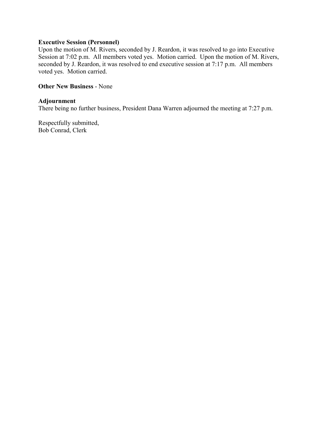### **Executive Session (Personnel)**

Upon the motion of M. Rivers, seconded by J. Reardon, it was resolved to go into Executive Session at 7:02 p.m. All members voted yes. Motion carried. Upon the motion of M. Rivers, seconded by J. Reardon, it was resolved to end executive session at 7:17 p.m. All members voted yes. Motion carried.

#### **Other New Business** - None

#### **Adjournment**

There being no further business, President Dana Warren adjourned the meeting at 7:27 p.m.

Respectfully submitted, Bob Conrad, Clerk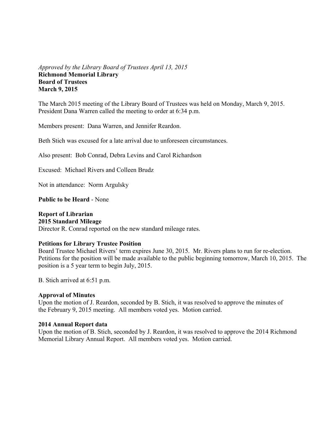### *Approved by the Library Board of Trustees April 13, 2015*  **Richmond Memorial Library Board of Trustees March 9, 2015**

The March 2015 meeting of the Library Board of Trustees was held on Monday, March 9, 2015. President Dana Warren called the meeting to order at 6:34 p.m.

Members present: Dana Warren, and Jennifer Reardon.

Beth Stich was excused for a late arrival due to unforeseen circumstances.

Also present: Bob Conrad, Debra Levins and Carol Richardson

Excused: Michael Rivers and Colleen Brudz

Not in attendance: Norm Argulsky

**Public to be Heard** - None

## **Report of Librarian**

### **2015 Standard Mileage**

Director R. Conrad reported on the new standard mileage rates.

#### **Petitions for Library Trustee Position**

Board Trustee Michael Rivers' term expires June 30, 2015. Mr. Rivers plans to run for re-election. Petitions for the position will be made available to the public beginning tomorrow, March 10, 2015. The position is a 5 year term to begin July, 2015.

B. Stich arrived at 6:51 p.m.

#### **Approval of Minutes**

Upon the motion of J. Reardon, seconded by B. Stich, it was resolved to approve the minutes of the February 9, 2015 meeting. All members voted yes. Motion carried.

#### **2014 Annual Report data**

Upon the motion of B. Stich, seconded by J. Reardon, it was resolved to approve the 2014 Richmond Memorial Library Annual Report. All members voted yes. Motion carried.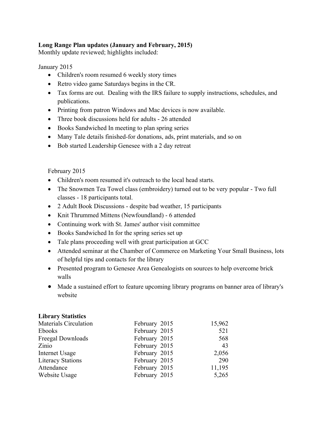### **Long Range Plan updates (January and February, 2015)**

Monthly update reviewed; highlights included:

### January 2015

- Children's room resumed 6 weekly story times
- Retro video game Saturdays begins in the CR.
- Tax forms are out. Dealing with the IRS failure to supply instructions, schedules, and publications.
- Printing from patron Windows and Mac devices is now available.
- Three book discussions held for adults 26 attended
- Books Sandwiched In meeting to plan spring series
- Many Tale details finished-for donations, ads, print materials, and so on
- Bob started Leadership Genesee with a 2 day retreat

### February 2015

- Children's room resumed it's outreach to the local head starts.
- The Snowmen Tea Towel class (embroidery) turned out to be very popular Two full classes - 18 participants total.
- 2 Adult Book Discussions despite bad weather, 15 participants
- Knit Thrummed Mittens (Newfoundland) 6 attended
- Continuing work with St. James' author visit committee
- Books Sandwiched In for the spring series set up
- Tale plans proceeding well with great participation at GCC
- Attended seminar at the Chamber of Commerce on Marketing Your Small Business, lots of helpful tips and contacts for the library
- Presented program to Genesee Area Genealogists on sources to help overcome brick walls
- Made a sustained effort to feature upcoming library programs on banner area of library's website

### **Library Statistics**

| <b>Materials Circulation</b> | February 2015 | 15,962 |
|------------------------------|---------------|--------|
| Ebooks                       | February 2015 | 521    |
| Freegal Downloads            | February 2015 | 568    |
| Zinio                        | February 2015 | 43     |
| Internet Usage               | February 2015 | 2,056  |
| <b>Literacy Stations</b>     | February 2015 | 290    |
| Attendance                   | February 2015 | 11,195 |
| Website Usage                | February 2015 | 5,265  |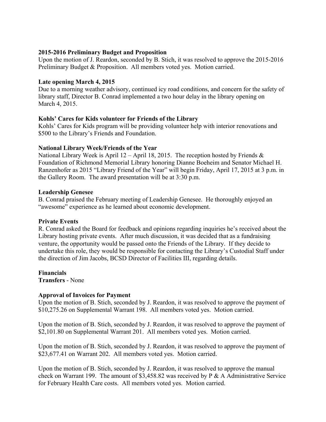### **2015-2016 Preliminary Budget and Proposition**

Upon the motion of J. Reardon, seconded by B. Stich, it was resolved to approve the 2015-2016 Preliminary Budget & Proposition. All members voted yes. Motion carried.

#### **Late opening March 4, 2015**

Due to a morning weather advisory, continued icy road conditions, and concern for the safety of library staff, Director B. Conrad implemented a two hour delay in the library opening on March 4, 2015.

### **Kohls' Cares for Kids volunteer for Friends of the Library**

Kohls' Cares for Kids program will be providing volunteer help with interior renovations and \$500 to the Library's Friends and Foundation.

### **National Library Week/Friends of the Year**

National Library Week is April 12 – April 18, 2015. The reception hosted by Friends  $\&$ Foundation of Richmond Memorial Library honoring Dianne Boeheim and Senator Michael H. Ranzenhofer as 2015 "Library Friend of the Year" will begin Friday, April 17, 2015 at 3 p.m. in the Gallery Room. The award presentation will be at 3:30 p.m.

#### **Leadership Genesee**

B. Conrad praised the February meeting of Leadership Genesee. He thoroughly enjoyed an "awesome" experience as he learned about economic development.

#### **Private Events**

R. Conrad asked the Board for feedback and opinions regarding inquiries he's received about the Library hosting private events. After much discussion, it was decided that as a fundraising venture, the opportunity would be passed onto the Friends of the Library. If they decide to undertake this role, they would be responsible for contacting the Library's Custodial Staff under the direction of Jim Jacobs, BCSD Director of Facilities III, regarding details.

**Financials Transfers** - None

# **Approval of Invoices for Payment**

Upon the motion of B. Stich, seconded by J. Reardon, it was resolved to approve the payment of \$10,275.26 on Supplemental Warrant 198. All members voted yes. Motion carried.

Upon the motion of B. Stich, seconded by J. Reardon, it was resolved to approve the payment of \$2,101.80 on Supplemental Warrant 201. All members voted yes. Motion carried.

Upon the motion of B. Stich, seconded by J. Reardon, it was resolved to approve the payment of \$23,677.41 on Warrant 202. All members voted yes. Motion carried.

Upon the motion of B. Stich, seconded by J. Reardon, it was resolved to approve the manual check on Warrant 199. The amount of \$3,458.82 was received by P & A Administrative Service for February Health Care costs. All members voted yes. Motion carried.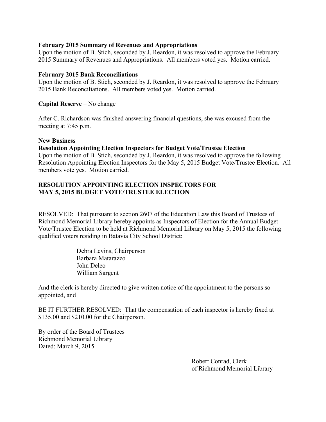### **February 2015 Summary of Revenues and Appropriations**

Upon the motion of B. Stich, seconded by J. Reardon, it was resolved to approve the February 2015 Summary of Revenues and Appropriations. All members voted yes. Motion carried.

### **February 2015 Bank Reconciliations**

Upon the motion of B. Stich, seconded by J. Reardon, it was resolved to approve the February 2015 Bank Reconciliations. All members voted yes. Motion carried.

### **Capital Reserve** – No change

After C. Richardson was finished answering financial questions, she was excused from the meeting at 7:45 p.m.

### **New Business**

### **Resolution Appointing Election Inspectors for Budget Vote/Trustee Election**

Upon the motion of B. Stich, seconded by J. Reardon, it was resolved to approve the following Resolution Appointing Election Inspectors for the May 5, 2015 Budget Vote/Trustee Election. All members vote yes. Motion carried.

### **RESOLUTION APPOINTING ELECTION INSPECTORS FOR MAY 5, 2015 BUDGET VOTE/TRUSTEE ELECTION**

RESOLVED: That pursuant to section 2607 of the Education Law this Board of Trustees of Richmond Memorial Library hereby appoints as Inspectors of Election for the Annual Budget Vote/Trustee Election to be held at Richmond Memorial Library on May 5, 2015 the following qualified voters residing in Batavia City School District:

> Debra Levins, Chairperson Barbara Matarazzo John Deleo William Sargent

And the clerk is hereby directed to give written notice of the appointment to the persons so appointed, and

BE IT FURTHER RESOLVED: That the compensation of each inspector is hereby fixed at \$135.00 and \$210.00 for the Chairperson.

By order of the Board of Trustees Richmond Memorial Library Dated: March 9, 2015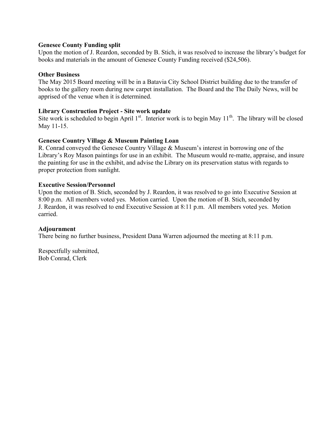### **Genesee County Funding split**

Upon the motion of J. Reardon, seconded by B. Stich, it was resolved to increase the library's budget for books and materials in the amount of Genesee County Funding received (\$24,506).

### **Other Business**

The May 2015 Board meeting will be in a Batavia City School District building due to the transfer of books to the gallery room during new carpet installation. The Board and the The Daily News, will be apprised of the venue when it is determined.

### **Library Construction Project - Site work update**

Site work is scheduled to begin April  $1<sup>st</sup>$ . Interior work is to begin May  $11<sup>th</sup>$ . The library will be closed May 11-15.

### **Genesee Country Village & Museum Painting Loan**

R. Conrad conveyed the Genesee Country Village & Museum's interest in borrowing one of the Library's Roy Mason paintings for use in an exhibit. The Museum would re-matte, appraise, and insure the painting for use in the exhibit, and advise the Library on its preservation status with regards to proper protection from sunlight.

### **Executive Session/Personnel**

Upon the motion of B. Stich, seconded by J. Reardon, it was resolved to go into Executive Session at 8:00 p.m. All members voted yes. Motion carried. Upon the motion of B. Stich, seconded by J. Reardon, it was resolved to end Executive Session at 8:11 p.m. All members voted yes. Motion carried.

### **Adjournment**

There being no further business, President Dana Warren adjourned the meeting at 8:11 p.m.

Respectfully submitted, Bob Conrad, Clerk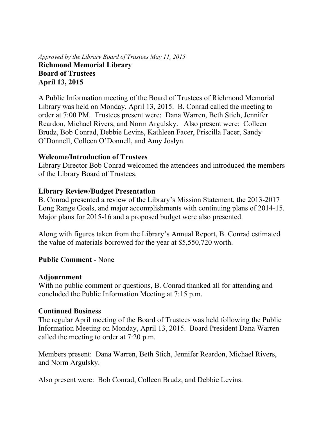### *Approved by the Library Board of Trustees May 11, 2015*  **Richmond Memorial Library Board of Trustees April 13, 2015**

A Public Information meeting of the Board of Trustees of Richmond Memorial Library was held on Monday, April 13, 2015. B. Conrad called the meeting to order at 7:00 PM. Trustees present were: Dana Warren, Beth Stich, Jennifer Reardon, Michael Rivers, and Norm Argulsky. Also present were: Colleen Brudz, Bob Conrad, Debbie Levins, Kathleen Facer, Priscilla Facer, Sandy O'Donnell, Colleen O'Donnell, and Amy Joslyn.

## **Welcome/Introduction of Trustees**

Library Director Bob Conrad welcomed the attendees and introduced the members of the Library Board of Trustees.

### **Library Review/Budget Presentation**

B. Conrad presented a review of the Library's Mission Statement, the 2013-2017 Long Range Goals, and major accomplishments with continuing plans of 2014-15. Major plans for 2015-16 and a proposed budget were also presented.

Along with figures taken from the Library's Annual Report, B. Conrad estimated the value of materials borrowed for the year at \$5,550,720 worth.

### **Public Comment -** None

### **Adjournment**

With no public comment or questions, B. Conrad thanked all for attending and concluded the Public Information Meeting at 7:15 p.m.

### **Continued Business**

The regular April meeting of the Board of Trustees was held following the Public Information Meeting on Monday, April 13, 2015. Board President Dana Warren called the meeting to order at 7:20 p.m.

Members present: Dana Warren, Beth Stich, Jennifer Reardon, Michael Rivers, and Norm Argulsky.

Also present were: Bob Conrad, Colleen Brudz, and Debbie Levins.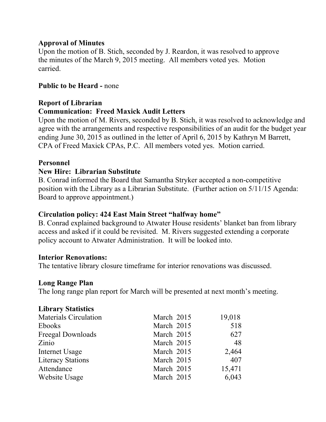## **Approval of Minutes**

Upon the motion of B. Stich, seconded by J. Reardon, it was resolved to approve the minutes of the March 9, 2015 meeting. All members voted yes. Motion carried.

## **Public to be Heard -** none

## **Report of Librarian**

### **Communication: Freed Maxick Audit Letters**

Upon the motion of M. Rivers, seconded by B. Stich, it was resolved to acknowledge and agree with the arrangements and respective responsibilities of an audit for the budget year ending June 30, 2015 as outlined in the letter of April 6, 2015 by Kathryn M Barrett, CPA of Freed Maxick CPAs, P.C. All members voted yes. Motion carried.

### **Personnel**

## **New Hire: Librarian Substitute**

B. Conrad informed the Board that Samantha Stryker accepted a non-competitive position with the Library as a Librarian Substitute. (Further action on 5/11/15 Agenda: Board to approve appointment.)

## **Circulation policy: 424 East Main Street "halfway home"**

B. Conrad explained background to Atwater House residents' blanket ban from library access and asked if it could be revisited. M. Rivers suggested extending a corporate policy account to Atwater Administration. It will be looked into.

## **Interior Renovations:**

The tentative library closure timeframe for interior renovations was discussed.

## **Long Range Plan**

The long range plan report for March will be presented at next month's meeting.

## **Library Statistics**

| <b>Materials Circulation</b> | March 2015 | 19,018 |
|------------------------------|------------|--------|
| Ebooks                       | March 2015 | 518    |
| Freegal Downloads            | March 2015 | 627    |
| Zinio                        | March 2015 | 48     |
| Internet Usage               | March 2015 | 2,464  |
| <b>Literacy Stations</b>     | March 2015 | 407    |
| Attendance                   | March 2015 | 15,471 |
| Website Usage                | March 2015 | 6,043  |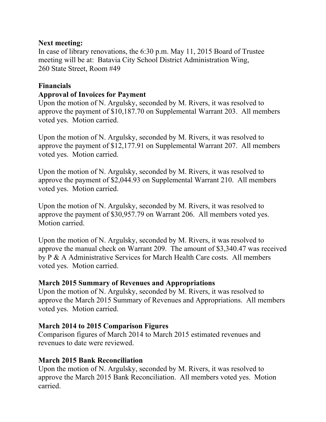## **Next meeting:**

In case of library renovations, the 6:30 p.m. May 11, 2015 Board of Trustee meeting will be at: Batavia City School District Administration Wing, 260 State Street, Room #49

## **Financials**

## **Approval of Invoices for Payment**

Upon the motion of N. Argulsky, seconded by M. Rivers, it was resolved to approve the payment of \$10,187.70 on Supplemental Warrant 203. All members voted yes. Motion carried.

Upon the motion of N. Argulsky, seconded by M. Rivers, it was resolved to approve the payment of \$12,177.91 on Supplemental Warrant 207. All members voted yes. Motion carried.

Upon the motion of N. Argulsky, seconded by M. Rivers, it was resolved to approve the payment of \$2,044.93 on Supplemental Warrant 210. All members voted yes. Motion carried.

Upon the motion of N. Argulsky, seconded by M. Rivers, it was resolved to approve the payment of \$30,957.79 on Warrant 206. All members voted yes. Motion carried.

Upon the motion of N. Argulsky, seconded by M. Rivers, it was resolved to approve the manual check on Warrant 209. The amount of \$3,340.47 was received by P & A Administrative Services for March Health Care costs. All members voted yes. Motion carried.

## **March 2015 Summary of Revenues and Appropriations**

Upon the motion of N. Argulsky, seconded by M. Rivers, it was resolved to approve the March 2015 Summary of Revenues and Appropriations. All members voted yes. Motion carried.

## **March 2014 to 2015 Comparison Figures**

Comparison figures of March 2014 to March 2015 estimated revenues and revenues to date were reviewed.

## **March 2015 Bank Reconciliation**

Upon the motion of N. Argulsky, seconded by M. Rivers, it was resolved to approve the March 2015 Bank Reconciliation. All members voted yes. Motion carried.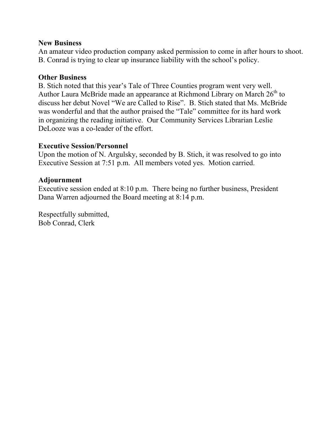## **New Business**

An amateur video production company asked permission to come in after hours to shoot. B. Conrad is trying to clear up insurance liability with the school's policy.

## **Other Business**

B. Stich noted that this year's Tale of Three Counties program went very well. Author Laura McBride made an appearance at Richmond Library on March  $26<sup>th</sup>$  to discuss her debut Novel "We are Called to Rise". B. Stich stated that Ms. McBride was wonderful and that the author praised the "Tale" committee for its hard work in organizing the reading initiative. Our Community Services Librarian Leslie DeLooze was a co-leader of the effort.

### **Executive Session/Personnel**

Upon the motion of N. Argulsky, seconded by B. Stich, it was resolved to go into Executive Session at 7:51 p.m. All members voted yes. Motion carried.

### **Adjournment**

Executive session ended at 8:10 p.m. There being no further business, President Dana Warren adjourned the Board meeting at 8:14 p.m.

Respectfully submitted, Bob Conrad, Clerk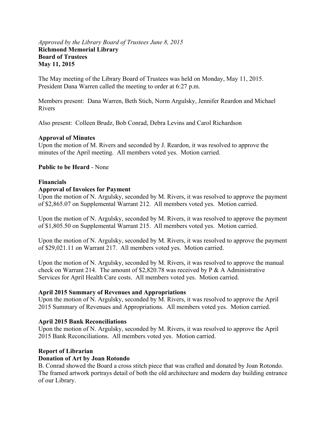### *Approved by the Library Board of Trustees June 8, 2015*  **Richmond Memorial Library Board of Trustees May 11, 2015**

The May meeting of the Library Board of Trustees was held on Monday, May 11, 2015. President Dana Warren called the meeting to order at 6:27 p.m.

Members present: Dana Warren, Beth Stich, Norm Argulsky, Jennifer Reardon and Michael Rivers

Also present: Colleen Brudz, Bob Conrad, Debra Levins and Carol Richardson

### **Approval of Minutes**

Upon the motion of M. Rivers and seconded by J. Reardon, it was resolved to approve the minutes of the April meeting. All members voted yes. Motion carried.

### **Public to be Heard** - None

### **Financials**

### **Approval of Invoices for Payment**

Upon the motion of N. Argulsky, seconded by M. Rivers, it was resolved to approve the payment of \$2,865.07 on Supplemental Warrant 212. All members voted yes. Motion carried.

Upon the motion of N. Argulsky, seconded by M. Rivers, it was resolved to approve the payment of \$1,805.50 on Supplemental Warrant 215. All members voted yes. Motion carried.

Upon the motion of N. Argulsky, seconded by M. Rivers, it was resolved to approve the payment of \$29,021.11 on Warrant 217. All members voted yes. Motion carried.

Upon the motion of N. Argulsky, seconded by M. Rivers, it was resolved to approve the manual check on Warrant 214. The amount of \$2,820.78 was received by P & A Administrative Services for April Health Care costs. All members voted yes. Motion carried.

### **April 2015 Summary of Revenues and Appropriations**

Upon the motion of N. Argulsky, seconded by M. Rivers, it was resolved to approve the April 2015 Summary of Revenues and Appropriations. All members voted yes. Motion carried.

### **April 2015 Bank Reconciliations**

Upon the motion of N. Argulsky, seconded by M. Rivers, it was resolved to approve the April 2015 Bank Reconciliations. All members voted yes. Motion carried.

### **Report of Librarian**

### **Donation of Art by Joan Rotondo**

B. Conrad showed the Board a cross stitch piece that was crafted and donated by Joan Rotondo. The framed artwork portrays detail of both the old architecture and modern day building entrance of our Library.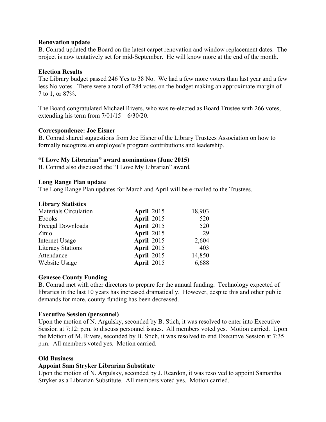#### **Renovation update**

B. Conrad updated the Board on the latest carpet renovation and window replacement dates. The project is now tentatively set for mid-September. He will know more at the end of the month.

### **Election Results**

The Library budget passed 246 Yes to 38 No. We had a few more voters than last year and a few less No votes. There were a total of 284 votes on the budget making an approximate margin of 7 to 1, or 87%.

The Board congratulated Michael Rivers, who was re-elected as Board Trustee with 266 votes, extending his term from  $7/01/15 - 6/30/20$ .

### **Correspondence: Joe Eisner**

B. Conrad shared suggestions from Joe Eisner of the Library Trustees Association on how to formally recognize an employee's program contributions and leadership.

### **"I Love My Librarian" award nominations (June 2015)**

B. Conrad also discussed the "I Love My Librarian" award.

### **Long Range Plan update**

The Long Range Plan updates for March and April will be e-mailed to the Trustees.

### **Library Statistics**

| <b>Materials Circulation</b> | <b>April 2015</b> | 18,903 |
|------------------------------|-------------------|--------|
| Ebooks                       | <b>April 2015</b> | 520    |
| Freegal Downloads            | <b>April 2015</b> | 520    |
| Zinio                        | <b>April 2015</b> | 29     |
| Internet Usage               | <b>April 2015</b> | 2,604  |
| <b>Literacy Stations</b>     | <b>April 2015</b> | 403    |
| Attendance                   | April 2015        | 14,850 |
| Website Usage                | April 2015        | 6,688  |

### **Genesee County Funding**

B. Conrad met with other directors to prepare for the annual funding. Technology expected of libraries in the last 10 years has increased dramatically. However, despite this and other public demands for more, county funding has been decreased.

### **Executive Session (personnel)**

Upon the motion of N. Argulsky, seconded by B. Stich, it was resolved to enter into Executive Session at 7:12: p.m. to discuss personnel issues. All members voted yes. Motion carried. Upon the Motion of M. Rivers, seconded by B. Stich, it was resolved to end Executive Session at 7:35 p.m. All members voted yes. Motion carried.

### **Old Business**

### **Appoint Sam Stryker Librarian Substitute**

Upon the motion of N. Argulsky, seconded by J. Reardon, it was resolved to appoint Samantha Stryker as a Librarian Substitute. All members voted yes. Motion carried.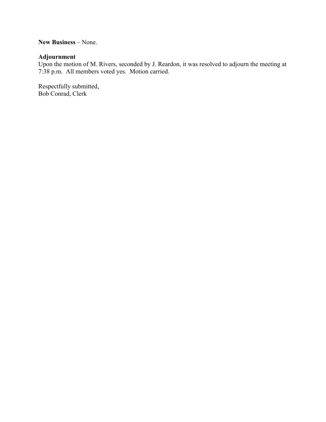**New Business** – None.

### **Adjournment**

Upon the motion of M. Rivers, seconded by J. Reardon, it was resolved to adjourn the meeting at 7:38 p.m. All members voted yes. Motion carried.

Respectfully submitted, Bob Conrad, Clerk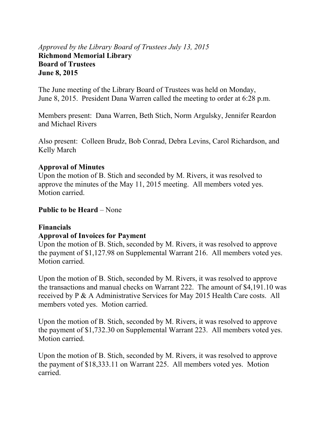## *Approved by the Library Board of Trustees July 13, 2015*  **Richmond Memorial Library Board of Trustees June 8, 2015**

The June meeting of the Library Board of Trustees was held on Monday, June 8, 2015. President Dana Warren called the meeting to order at 6:28 p.m.

Members present: Dana Warren, Beth Stich, Norm Argulsky, Jennifer Reardon and Michael Rivers

Also present: Colleen Brudz, Bob Conrad, Debra Levins, Carol Richardson, and Kelly March

## **Approval of Minutes**

Upon the motion of B. Stich and seconded by M. Rivers, it was resolved to approve the minutes of the May 11, 2015 meeting. All members voted yes. Motion carried.

## **Public to be Heard – None**

## **Financials**

## **Approval of Invoices for Payment**

Upon the motion of B. Stich, seconded by M. Rivers, it was resolved to approve the payment of \$1,127.98 on Supplemental Warrant 216. All members voted yes. Motion carried.

Upon the motion of B. Stich, seconded by M. Rivers, it was resolved to approve the transactions and manual checks on Warrant 222. The amount of \$4,191.10 was received by P & A Administrative Services for May 2015 Health Care costs. All members voted yes. Motion carried.

Upon the motion of B. Stich, seconded by M. Rivers, it was resolved to approve the payment of \$1,732.30 on Supplemental Warrant 223. All members voted yes. Motion carried.

Upon the motion of B. Stich, seconded by M. Rivers, it was resolved to approve the payment of \$18,333.11 on Warrant 225. All members voted yes. Motion carried.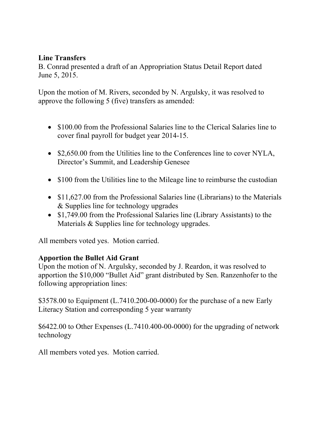## **Line Transfers**

B. Conrad presented a draft of an Appropriation Status Detail Report dated June 5, 2015.

Upon the motion of M. Rivers, seconded by N. Argulsky, it was resolved to approve the following 5 (five) transfers as amended:

- \$100.00 from the Professional Salaries line to the Clerical Salaries line to cover final payroll for budget year 2014-15.
- \$2,650.00 from the Utilities line to the Conferences line to cover NYLA, Director's Summit, and Leadership Genesee
- \$100 from the Utilities line to the Mileage line to reimburse the custodian
- \$11,627.00 from the Professional Salaries line (Librarians) to the Materials & Supplies line for technology upgrades
- \$1,749.00 from the Professional Salaries line (Library Assistants) to the Materials & Supplies line for technology upgrades.

All members voted yes. Motion carried.

## **Apportion the Bullet Aid Grant**

Upon the motion of N. Argulsky, seconded by J. Reardon, it was resolved to apportion the \$10,000 "Bullet Aid" grant distributed by Sen. Ranzenhofer to the following appropriation lines:

\$3578.00 to Equipment (L.7410.200-00-0000) for the purchase of a new Early Literacy Station and corresponding 5 year warranty

\$6422.00 to Other Expenses (L.7410.400-00-0000) for the upgrading of network technology

All members voted yes. Motion carried.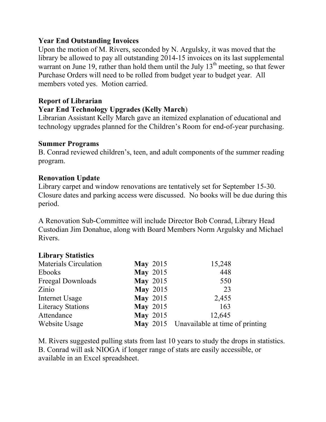## **Year End Outstanding Invoices**

Upon the motion of M. Rivers, seconded by N. Argulsky, it was moved that the library be allowed to pay all outstanding 2014-15 invoices on its last supplemental warrant on June 19, rather than hold them until the July  $13<sup>th</sup>$  meeting, so that fewer Purchase Orders will need to be rolled from budget year to budget year. All members voted yes. Motion carried.

## **Report of Librarian**

## **Year End Technology Upgrades (Kelly March**)

Librarian Assistant Kelly March gave an itemized explanation of educational and technology upgrades planned for the Children's Room for end-of-year purchasing.

### **Summer Programs**

B. Conrad reviewed children's, teen, and adult components of the summer reading program.

## **Renovation Update**

Library carpet and window renovations are tentatively set for September 15-30. Closure dates and parking access were discussed. No books will be due during this period.

A Renovation Sub-Committee will include Director Bob Conrad, Library Head Custodian Jim Donahue, along with Board Members Norm Argulsky and Michael Rivers.

## **Library Statistics**

| <b>Materials Circulation</b> | <b>May 2015</b> | 15,248                                   |
|------------------------------|-----------------|------------------------------------------|
| Ebooks                       | <b>May 2015</b> | 448                                      |
| Freegal Downloads            | <b>May 2015</b> | 550                                      |
| Zinio                        | <b>May 2015</b> | 23                                       |
| Internet Usage               | <b>May 2015</b> | 2,455                                    |
| <b>Literacy Stations</b>     | <b>May 2015</b> | 163                                      |
| Attendance                   | <b>May 2015</b> | 12,645                                   |
| Website Usage                |                 | May 2015 Unavailable at time of printing |

M. Rivers suggested pulling stats from last 10 years to study the drops in statistics. B. Conrad will ask NIOGA if longer range of stats are easily accessible, or available in an Excel spreadsheet.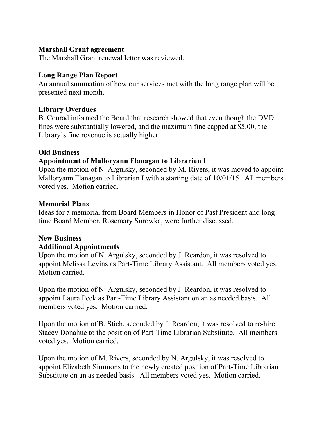## **Marshall Grant agreement**

The Marshall Grant renewal letter was reviewed.

## **Long Range Plan Report**

An annual summation of how our services met with the long range plan will be presented next month.

## **Library Overdues**

B. Conrad informed the Board that research showed that even though the DVD fines were substantially lowered, and the maximum fine capped at \$5.00, the Library's fine revenue is actually higher.

## **Old Business**

## **Appointment of Malloryann Flanagan to Librarian I**

Upon the motion of N. Argulsky, seconded by M. Rivers, it was moved to appoint Malloryann Flanagan to Librarian I with a starting date of 10/01/15. All members voted yes. Motion carried.

## **Memorial Plans**

Ideas for a memorial from Board Members in Honor of Past President and longtime Board Member, Rosemary Surowka, were further discussed.

## **New Business**

## **Additional Appointments**

Upon the motion of N. Argulsky, seconded by J. Reardon, it was resolved to appoint Melissa Levins as Part-Time Library Assistant. All members voted yes. Motion carried.

Upon the motion of N. Argulsky, seconded by J. Reardon, it was resolved to appoint Laura Peck as Part-Time Library Assistant on an as needed basis. All members voted yes. Motion carried.

Upon the motion of B. Stich, seconded by J. Reardon, it was resolved to re-hire Stacey Donahue to the position of Part-Time Librarian Substitute. All members voted yes. Motion carried.

Upon the motion of M. Rivers, seconded by N. Argulsky, it was resolved to appoint Elizabeth Simmons to the newly created position of Part-Time Librarian Substitute on an as needed basis. All members voted yes. Motion carried.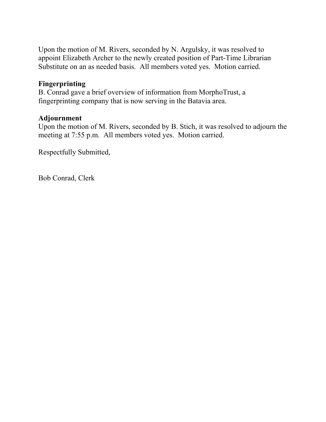Upon the motion of M. Rivers, seconded by N. Argulsky, it was resolved to appoint Elizabeth Archer to the newly created position of Part-Time Librarian Substitute on an as needed basis. All members voted yes. Motion carried.

## **Fingerprinting**

B. Conrad gave a brief overview of information from MorphoTrust, a fingerprinting company that is now serving in the Batavia area.

## **Adjournment**

Upon the motion of M. Rivers, seconded by B. Stich, it was resolved to adjourn the meeting at 7:55 p.m. All members voted yes. Motion carried.

Respectfully Submitted,

Bob Conrad, Clerk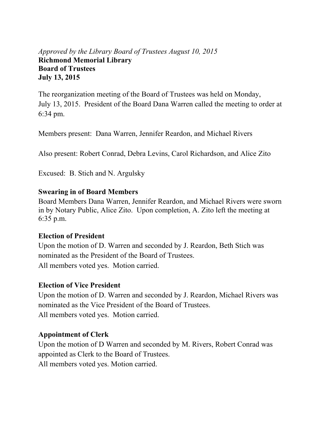## *Approved by the Library Board of Trustees August 10, 2015* **Richmond Memorial Library Board of Trustees July 13, 2015**

The reorganization meeting of the Board of Trustees was held on Monday, July 13, 2015. President of the Board Dana Warren called the meeting to order at 6:34 pm.

Members present: Dana Warren, Jennifer Reardon, and Michael Rivers

Also present: Robert Conrad, Debra Levins, Carol Richardson, and Alice Zito

Excused: B. Stich and N. Argulsky

## **Swearing in of Board Members**

Board Members Dana Warren, Jennifer Reardon, and Michael Rivers were sworn in by Notary Public, Alice Zito. Upon completion, A. Zito left the meeting at 6:35 p.m.

## **Election of President**

Upon the motion of D. Warren and seconded by J. Reardon, Beth Stich was nominated as the President of the Board of Trustees. All members voted yes. Motion carried.

## **Election of Vice President**

Upon the motion of D. Warren and seconded by J. Reardon, Michael Rivers was nominated as the Vice President of the Board of Trustees. All members voted yes. Motion carried.

## **Appointment of Clerk**

Upon the motion of D Warren and seconded by M. Rivers, Robert Conrad was appointed as Clerk to the Board of Trustees.

All members voted yes. Motion carried.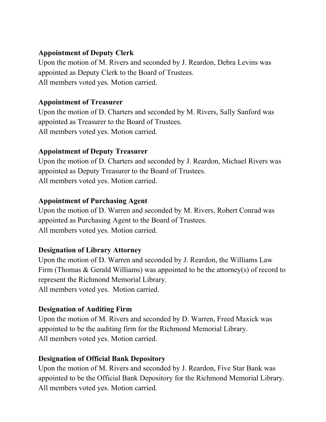## **Appointment of Deputy Clerk**

Upon the motion of M. Rivers and seconded by J. Reardon, Debra Levins was appointed as Deputy Clerk to the Board of Trustees. All members voted yes. Motion carried.

## **Appointment of Treasurer**

Upon the motion of D. Charters and seconded by M. Rivers, Sally Sanford was appointed as Treasurer to the Board of Trustees. All members voted yes. Motion carried.

## **Appointment of Deputy Treasurer**

Upon the motion of D. Charters and seconded by J. Reardon, Michael Rivers was appointed as Deputy Treasurer to the Board of Trustees. All members voted yes. Motion carried.

## **Appointment of Purchasing Agent**

Upon the motion of D. Warren and seconded by M. Rivers, Robert Conrad was appointed as Purchasing Agent to the Board of Trustees. All members voted yes. Motion carried.

## **Designation of Library Attorney**

Upon the motion of D. Warren and seconded by J. Reardon, the Williams Law Firm (Thomas & Gerald Williams) was appointed to be the attorney(s) of record to represent the Richmond Memorial Library. All members voted yes. Motion carried.

## **Designation of Auditing Firm**

Upon the motion of M. Rivers and seconded by D. Warren, Freed Maxick was appointed to be the auditing firm for the Richmond Memorial Library. All members voted yes. Motion carried.

## **Designation of Official Bank Depository**

Upon the motion of M. Rivers and seconded by J. Reardon, Five Star Bank was appointed to be the Official Bank Depository for the Richmond Memorial Library. All members voted yes. Motion carried.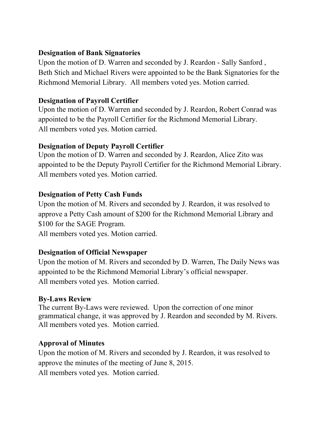## **Designation of Bank Signatories**

Upon the motion of D. Warren and seconded by J. Reardon - Sally Sanford , Beth Stich and Michael Rivers were appointed to be the Bank Signatories for the Richmond Memorial Library. All members voted yes. Motion carried.

## **Designation of Payroll Certifier**

Upon the motion of D. Warren and seconded by J. Reardon, Robert Conrad was appointed to be the Payroll Certifier for the Richmond Memorial Library. All members voted yes. Motion carried.

## **Designation of Deputy Payroll Certifier**

Upon the motion of D. Warren and seconded by J. Reardon, Alice Zito was appointed to be the Deputy Payroll Certifier for the Richmond Memorial Library. All members voted yes. Motion carried.

## **Designation of Petty Cash Funds**

Upon the motion of M. Rivers and seconded by J. Reardon, it was resolved to approve a Petty Cash amount of \$200 for the Richmond Memorial Library and \$100 for the SAGE Program.

All members voted yes. Motion carried.

## **Designation of Official Newspaper**

Upon the motion of M. Rivers and seconded by D. Warren, The Daily News was appointed to be the Richmond Memorial Library's official newspaper. All members voted yes. Motion carried.

## **By-Laws Review**

The current By-Laws were reviewed. Upon the correction of one minor grammatical change, it was approved by J. Reardon and seconded by M. Rivers. All members voted yes. Motion carried.

## **Approval of Minutes**

Upon the motion of M. Rivers and seconded by J. Reardon, it was resolved to approve the minutes of the meeting of June 8, 2015. All members voted yes. Motion carried.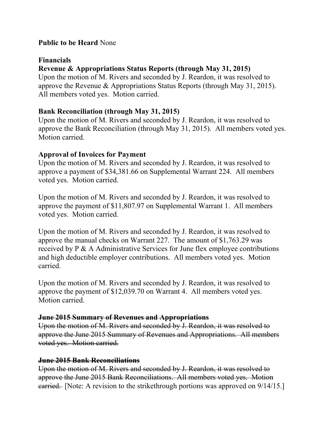## **Public to be Heard** None

## **Financials**

## **Revenue & Appropriations Status Reports (through May 31, 2015)**

Upon the motion of M. Rivers and seconded by J. Reardon, it was resolved to approve the Revenue & Appropriations Status Reports (through May 31, 2015). All members voted yes. Motion carried.

## **Bank Reconciliation (through May 31, 2015)**

Upon the motion of M. Rivers and seconded by J. Reardon, it was resolved to approve the Bank Reconciliation (through May 31, 2015). All members voted yes. Motion carried.

## **Approval of Invoices for Payment**

Upon the motion of M. Rivers and seconded by J. Reardon, it was resolved to approve a payment of \$34,381.66 on Supplemental Warrant 224. All members voted yes. Motion carried.

Upon the motion of M. Rivers and seconded by J. Reardon, it was resolved to approve the payment of \$11,807.97 on Supplemental Warrant 1. All members voted yes. Motion carried.

Upon the motion of M. Rivers and seconded by J. Reardon, it was resolved to approve the manual checks on Warrant 227. The amount of \$1,763.29 was received by P & A Administrative Services for June flex employee contributions and high deductible employer contributions. All members voted yes. Motion carried.

Upon the motion of M. Rivers and seconded by J. Reardon, it was resolved to approve the payment of \$12,039.70 on Warrant 4. All members voted yes. Motion carried.

## **June 2015 Summary of Revenues and Appropriations**

Upon the motion of M. Rivers and seconded by J. Reardon, it was resolved to approve the June 2015 Summary of Revenues and Appropriations. All members voted yes. Motion carried.

## **June 2015 Bank Reconciliations**

Upon the motion of M. Rivers and seconded by J. Reardon, it was resolved to approve the June 2015 Bank Reconciliations. All members voted yes. Motion earried. [Note: A revision to the strikethrough portions was approved on  $9/14/15$ .]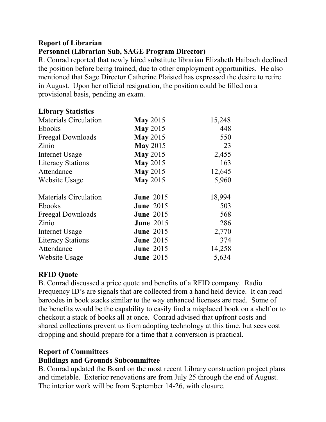## **Report of Librarian Personnel (Librarian Sub, SAGE Program Director)**

R. Conrad reported that newly hired substitute librarian Elizabeth Haibach declined the position before being trained, due to other employment opportunities. He also mentioned that Sage Director Catherine Plaisted has expressed the desire to retire in August. Upon her official resignation, the position could be filled on a provisional basis, pending an exam.

## **Library Statistics**

| <b>Materials Circulation</b> | <b>May 2015</b>  | 15,248 |
|------------------------------|------------------|--------|
| <b>Ebooks</b>                | <b>May 2015</b>  | 448    |
| Freegal Downloads            | <b>May 2015</b>  | 550    |
| Zinio                        | <b>May 2015</b>  | 23     |
| Internet Usage               | <b>May 2015</b>  | 2,455  |
| <b>Literacy Stations</b>     | <b>May 2015</b>  | 163    |
| Attendance                   | <b>May 2015</b>  | 12,645 |
| Website Usage                | <b>May 2015</b>  | 5,960  |
| <b>Materials Circulation</b> | <b>June 2015</b> | 18,994 |
| <b>Ebooks</b>                | <b>June 2015</b> | 503    |
| <b>Freegal Downloads</b>     | <b>June 2015</b> | 568    |
| Zinio                        | <b>June 2015</b> | 286    |
| Internet Usage               | <b>June 2015</b> | 2,770  |
| <b>Literacy Stations</b>     | <b>June 2015</b> | 374    |
| Attendance                   | <b>June 2015</b> | 14,258 |
| Website Usage                | <b>June 2015</b> | 5,634  |

## **RFID Quote**

B. Conrad discussed a price quote and benefits of a RFID company. Radio Frequency ID's are signals that are collected from a hand held device. It can read barcodes in book stacks similar to the way enhanced licenses are read. Some of the benefits would be the capability to easily find a misplaced book on a shelf or to checkout a stack of books all at once. Conrad advised that upfront costs and shared collections prevent us from adopting technology at this time, but sees cost dropping and should prepare for a time that a conversion is practical.

## **Report of Committees**

## **Buildings and Grounds Subcommittee**

B. Conrad updated the Board on the most recent Library construction project plans and timetable. Exterior renovations are from July 25 through the end of August. The interior work will be from September 14-26, with closure.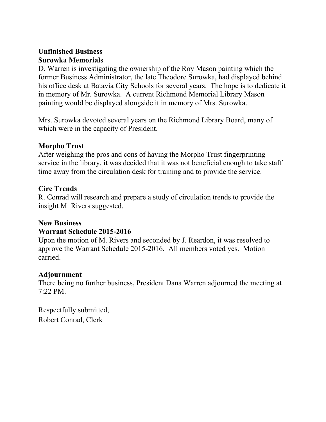## **Unfinished Business Surowka Memorials**

D. Warren is investigating the ownership of the Roy Mason painting which the former Business Administrator, the late Theodore Surowka, had displayed behind his office desk at Batavia City Schools for several years. The hope is to dedicate it in memory of Mr. Surowka. A current Richmond Memorial Library Mason painting would be displayed alongside it in memory of Mrs. Surowka.

Mrs. Surowka devoted several years on the Richmond Library Board, many of which were in the capacity of President.

## **Morpho Trust**

After weighing the pros and cons of having the Morpho Trust fingerprinting service in the library, it was decided that it was not beneficial enough to take staff time away from the circulation desk for training and to provide the service.

## **Circ Trends**

R. Conrad will research and prepare a study of circulation trends to provide the insight M. Rivers suggested.

## **New Business**

## **Warrant Schedule 2015-2016**

Upon the motion of M. Rivers and seconded by J. Reardon, it was resolved to approve the Warrant Schedule 2015-2016. All members voted yes. Motion carried.

## **Adjournment**

There being no further business, President Dana Warren adjourned the meeting at 7:22 PM.

Respectfully submitted, Robert Conrad, Clerk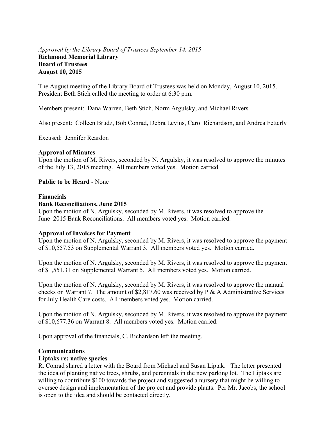### *Approved by the Library Board of Trustees September 14, 2015*  **Richmond Memorial Library Board of Trustees August 10, 2015**

The August meeting of the Library Board of Trustees was held on Monday, August 10, 2015. President Beth Stich called the meeting to order at 6:30 p.m.

Members present: Dana Warren, Beth Stich, Norm Argulsky, and Michael Rivers

Also present: Colleen Brudz, Bob Conrad, Debra Levins, Carol Richardson, and Andrea Fetterly

Excused: Jennifer Reardon

#### **Approval of Minutes**

Upon the motion of M. Rivers, seconded by N. Argulsky, it was resolved to approve the minutes of the July 13, 2015 meeting. All members voted yes. Motion carried.

#### **Public to be Heard** - None

#### **Financials**

#### **Bank Reconciliations, June 2015**

Upon the motion of N. Argulsky, seconded by M. Rivers, it was resolved to approve the June 2015 Bank Reconciliations. All members voted yes. Motion carried.

#### **Approval of Invoices for Payment**

Upon the motion of N. Argulsky, seconded by M. Rivers, it was resolved to approve the payment of \$10,557.53 on Supplemental Warrant 3. All members voted yes. Motion carried.

Upon the motion of N. Argulsky, seconded by M. Rivers, it was resolved to approve the payment of \$1,551.31 on Supplemental Warrant 5. All members voted yes. Motion carried.

Upon the motion of N. Argulsky, seconded by M. Rivers, it was resolved to approve the manual checks on Warrant 7. The amount of \$2,817.60 was received by P & A Administrative Services for July Health Care costs. All members voted yes. Motion carried.

Upon the motion of N. Argulsky, seconded by M. Rivers, it was resolved to approve the payment of \$10,677.36 on Warrant 8. All members voted yes. Motion carried.

Upon approval of the financials, C. Richardson left the meeting.

#### **Communications**

#### **Liptaks re: native species**

R. Conrad shared a letter with the Board from Michael and Susan Liptak. The letter presented the idea of planting native trees, shrubs, and perennials in the new parking lot. The Liptaks are willing to contribute \$100 towards the project and suggested a nursery that might be willing to oversee design and implementation of the project and provide plants. Per Mr. Jacobs, the school is open to the idea and should be contacted directly.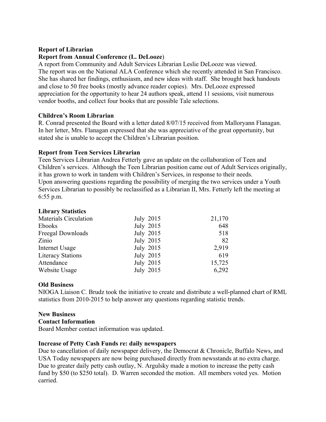### **Report of Librarian**

### **Report from Annual Conference (L. DeLooze**)

A report from Community and Adult Services Librarian Leslie DeLooze was viewed. The report was on the National ALA Conference which she recently attended in San Francisco. She has shared her findings, enthusiasm, and new ideas with staff. She brought back handouts and close to 50 free books (mostly advance reader copies). Mrs. DeLooze expressed appreciation for the opportunity to hear 24 authors speak, attend 11 sessions, visit numerous vendor booths, and collect four books that are possible Tale selections.

### **Children's Room Librarian**

R. Conrad presented the Board with a letter dated 8/07/15 received from Malloryann Flanagan. In her letter, Mrs. Flanagan expressed that she was appreciative of the great opportunity, but stated she is unable to accept the Children's Librarian position.

### **Report from Teen Services Librarian**

Teen Services Librarian Andrea Fetterly gave an update on the collaboration of Teen and Children's services. Although the Teen Librarian position came out of Adult Services originally, it has grown to work in tandem with Children's Services, in response to their needs. Upon answering questions regarding the possibility of merging the two services under a Youth Services Librarian to possibly be reclassified as a Librarian II, Mrs. Fetterly left the meeting at 6:55 p.m.

#### **Library Statistics**

| Materials Circulation    | July 2015 | 21,170 |
|--------------------------|-----------|--------|
| Ebooks                   | July 2015 | 648    |
| Freegal Downloads        | July 2015 | 518    |
| Zinio                    | July 2015 | 82     |
| Internet Usage           | July 2015 | 2,919  |
| <b>Literacy Stations</b> | July 2015 | 619    |
| Attendance               | July 2015 | 15,725 |
| Website Usage            | July 2015 | 6,292  |

### **Old Business**

NIOGA Liaison C. Brudz took the initiative to create and distribute a well-planned chart of RML statistics from 2010-2015 to help answer any questions regarding statistic trends.

### **New Business**

### **Contact Information**

Board Member contact information was updated.

### **Increase of Petty Cash Funds re: daily newspapers**

Due to cancellation of daily newspaper delivery, the Democrat & Chronicle, Buffalo News, and USA Today newspapers are now being purchased directly from newsstands at no extra charge. Due to greater daily petty cash outlay, N. Argulsky made a motion to increase the petty cash fund by \$50 (to \$250 total). D. Warren seconded the motion. All members voted yes. Motion carried.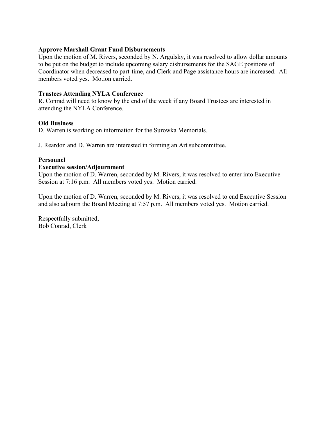### **Approve Marshall Grant Fund Disbursements**

Upon the motion of M. Rivers, seconded by N. Argulsky, it was resolved to allow dollar amounts to be put on the budget to include upcoming salary disbursements for the SAGE positions of Coordinator when decreased to part-time, and Clerk and Page assistance hours are increased. All members voted yes. Motion carried.

### **Trustees Attending NYLA Conference**

R. Conrad will need to know by the end of the week if any Board Trustees are interested in attending the NYLA Conference.

### **Old Business**

D. Warren is working on information for the Surowka Memorials.

J. Reardon and D. Warren are interested in forming an Art subcommittee.

### **Personnel**

### **Executive session/Adjournment**

Upon the motion of D. Warren, seconded by M. Rivers, it was resolved to enter into Executive Session at 7:16 p.m. All members voted yes. Motion carried.

Upon the motion of D. Warren, seconded by M. Rivers, it was resolved to end Executive Session and also adjourn the Board Meeting at 7:57 p.m. All members voted yes. Motion carried.

Respectfully submitted, Bob Conrad, Clerk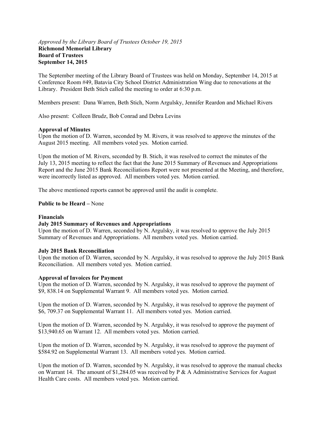#### *Approved by the Library Board of Trustees October 19, 2015*  **Richmond Memorial Library Board of Trustees September 14, 2015**

The September meeting of the Library Board of Trustees was held on Monday, September 14, 2015 at Conference Room #49, Batavia City School District Administration Wing due to renovations at the Library. President Beth Stich called the meeting to order at 6:30 p.m.

Members present: Dana Warren, Beth Stich, Norm Argulsky, Jennifer Reardon and Michael Rivers

Also present: Colleen Brudz, Bob Conrad and Debra Levins

#### **Approval of Minutes**

Upon the motion of D. Warren, seconded by M. Rivers, it was resolved to approve the minutes of the August 2015 meeting. All members voted yes. Motion carried.

Upon the motion of M. Rivers, seconded by B. Stich, it was resolved to correct the minutes of the July 13, 2015 meeting to reflect the fact that the June 2015 Summary of Revenues and Appropriations Report and the June 2015 Bank Reconciliations Report were not presented at the Meeting, and therefore, were incorrectly listed as approved. All members voted yes. Motion carried.

The above mentioned reports cannot be approved until the audit is complete.

**Public to be Heard –** None

#### **Financials**

#### **July 2015 Summary of Revenues and Appropriations**

Upon the motion of D. Warren, seconded by N. Argulsky, it was resolved to approve the July 2015 Summary of Revenues and Appropriations. All members voted yes. Motion carried.

#### **July 2015 Bank Reconciliation**

Upon the motion of D. Warren, seconded by N. Argulsky, it was resolved to approve the July 2015 Bank Reconciliation. All members voted yes. Motion carried.

#### **Approval of Invoices for Payment**

Upon the motion of D. Warren, seconded by N. Argulsky, it was resolved to approve the payment of \$9, 838.14 on Supplemental Warrant 9. All members voted yes. Motion carried.

Upon the motion of D. Warren, seconded by N. Argulsky, it was resolved to approve the payment of \$6, 709.37 on Supplemental Warrant 11. All members voted yes. Motion carried.

Upon the motion of D. Warren, seconded by N. Argulsky, it was resolved to approve the payment of \$13,940.65 on Warrant 12. All members voted yes. Motion carried.

Upon the motion of D. Warren, seconded by N. Argulsky, it was resolved to approve the payment of \$584.92 on Supplemental Warrant 13. All members voted yes. Motion carried.

Upon the motion of D. Warren, seconded by N. Argulsky, it was resolved to approve the manual checks on Warrant 14. The amount of \$1,284.05 was received by P & A Administrative Services for August Health Care costs. All members voted yes. Motion carried.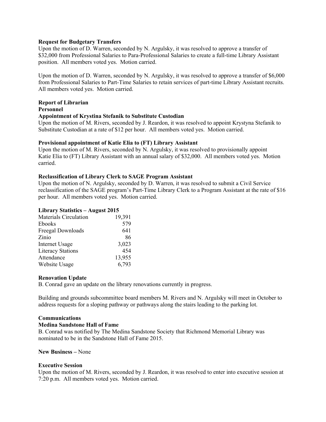#### **Request for Budgetary Transfers**

Upon the motion of D. Warren, seconded by N. Argulsky, it was resolved to approve a transfer of \$32,000 from Professional Salaries to Para-Professional Salaries to create a full-time Library Assistant position. All members voted yes. Motion carried.

Upon the motion of D. Warren, seconded by N. Argulsky, it was resolved to approve a transfer of \$6,000 from Professional Salaries to Part-Time Salaries to retain services of part-time Library Assistant recruits. All members voted yes. Motion carried.

### **Report of Librarian**

#### **Personnel**

#### **Appointment of Krystina Stefanik to Substitute Custodian**

Upon the motion of M. Rivers, seconded by J. Reardon, it was resolved to appoint Krystyna Stefanik to Substitute Custodian at a rate of \$12 per hour. All members voted yes. Motion carried.

#### **Provisional appointment of Katie Elia to (FT) Library Assistant**

Upon the motion of M. Rivers, seconded by N. Argulsky, it was resolved to provisionally appoint Katie Elia to (FT) Library Assistant with an annual salary of \$32,000. All members voted yes. Motion carried.

#### **Reclassification of Library Clerk to SAGE Program Assistant**

Upon the motion of N. Argulsky, seconded by D. Warren, it was resolved to submit a Civil Service reclassification of the SAGE program's Part-Time Library Clerk to a Program Assistant at the rate of \$16 per hour. All members voted yes. Motion carried.

#### **Library Statistics – August 2015**

| <b>Materials Circulation</b> | 19,391 |
|------------------------------|--------|
| <b>Ebooks</b>                | 579    |
| Freegal Downloads            | 641    |
| Zinio                        | 86     |
| <b>Internet Usage</b>        | 3,023  |
| <b>Literacy Stations</b>     | 454    |
| Attendance                   | 13,955 |
| Website Usage                | 6,793  |

#### **Renovation Update**

B. Conrad gave an update on the library renovations currently in progress.

Building and grounds subcommittee board members M. Rivers and N. Argulsky will meet in October to address requests for a sloping pathway or pathways along the stairs leading to the parking lot.

#### **Communications**

#### **Medina Sandstone Hall of Fame**

B. Conrad was notified by The Medina Sandstone Society that Richmond Memorial Library was nominated to be in the Sandstone Hall of Fame 2015.

#### **New Business –** None

#### **Executive Session**

Upon the motion of M. Rivers, seconded by J. Reardon, it was resolved to enter into executive session at 7:20 p.m. All members voted yes. Motion carried.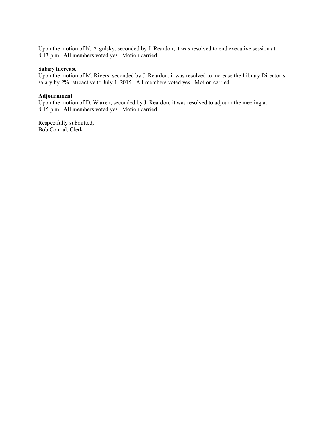Upon the motion of N. Argulsky, seconded by J. Reardon, it was resolved to end executive session at 8:13 p.m. All members voted yes. Motion carried.

#### **Salary increase**

Upon the motion of M. Rivers, seconded by J. Reardon, it was resolved to increase the Library Director's salary by 2% retroactive to July 1, 2015. All members voted yes. Motion carried.

#### **Adjournment**

Upon the motion of D. Warren, seconded by J. Reardon, it was resolved to adjourn the meeting at 8:15 p.m. All members voted yes. Motion carried.

Respectfully submitted, Bob Conrad, Clerk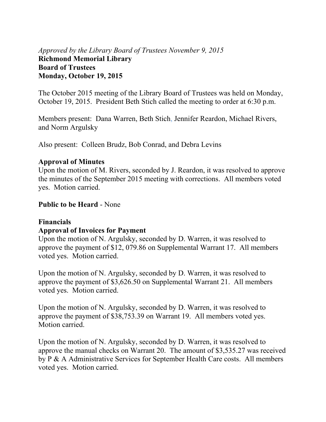## *Approved by the Library Board of Trustees November 9, 2015*  **Richmond Memorial Library Board of Trustees Monday, October 19, 2015**

The October 2015 meeting of the Library Board of Trustees was held on Monday, October 19, 2015. President Beth Stich called the meeting to order at 6:30 p.m.

Members present: Dana Warren, Beth Stich, Jennifer Reardon, Michael Rivers, and Norm Argulsky

Also present: Colleen Brudz, Bob Conrad, and Debra Levins

### **Approval of Minutes**

Upon the motion of M. Rivers, seconded by J. Reardon, it was resolved to approve the minutes of the September 2015 meeting with corrections. All members voted yes. Motion carried.

## **Public to be Heard** - None

## **Financials**

## **Approval of Invoices for Payment**

Upon the motion of N. Argulsky, seconded by D. Warren, it was resolved to approve the payment of \$12, 079.86 on Supplemental Warrant 17. All members voted yes. Motion carried.

Upon the motion of N. Argulsky, seconded by D. Warren, it was resolved to approve the payment of \$3,626.50 on Supplemental Warrant 21. All members voted yes. Motion carried.

Upon the motion of N. Argulsky, seconded by D. Warren, it was resolved to approve the payment of \$38,753.39 on Warrant 19. All members voted yes. Motion carried.

Upon the motion of N. Argulsky, seconded by D. Warren, it was resolved to approve the manual checks on Warrant 20. The amount of \$3,535.27 was received by P & A Administrative Services for September Health Care costs. All members voted yes. Motion carried.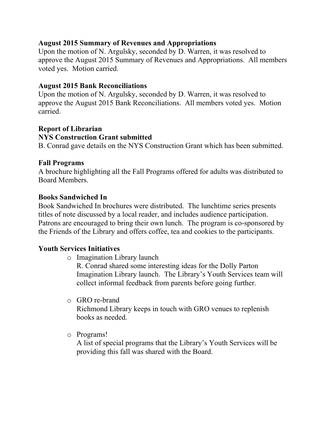## **August 2015 Summary of Revenues and Appropriations**

Upon the motion of N. Argulsky, seconded by D. Warren, it was resolved to approve the August 2015 Summary of Revenues and Appropriations. All members voted yes. Motion carried.

## **August 2015 Bank Reconciliations**

Upon the motion of N. Argulsky, seconded by D. Warren, it was resolved to approve the August 2015 Bank Reconciliations. All members voted yes. Motion carried.

## **Report of Librarian**

## **NYS Construction Grant submitted**

B. Conrad gave details on the NYS Construction Grant which has been submitted.

## **Fall Programs**

A brochure highlighting all the Fall Programs offered for adults was distributed to Board Members.

## **Books Sandwiched In**

Book Sandwiched In brochures were distributed. The lunchtime series presents titles of note discussed by a local reader, and includes audience participation. Patrons are encouraged to bring their own lunch. The program is co-sponsored by the Friends of the Library and offers coffee, tea and cookies to the participants.

## **Youth Services Initiatives**

o Imagination Library launch

R. Conrad shared some interesting ideas for the Dolly Parton Imagination Library launch. The Library's Youth Services team will collect informal feedback from parents before going further.

o GRO re-brand

Richmond Library keeps in touch with GRO venues to replenish books as needed.

o Programs!

A list of special programs that the Library's Youth Services will be providing this fall was shared with the Board.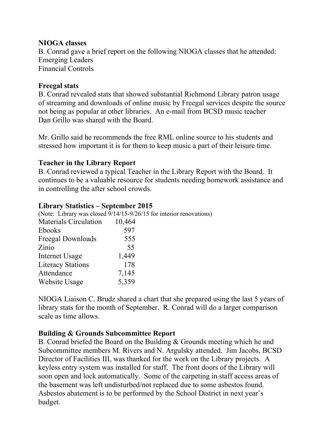## **NIOGA classes**

B. Conrad gave a brief report on the following NIOGA classes that he attended: Emerging Leaders Financial Controls

## **Freegal stats**

B. Conrad revealed stats that showed substantial Richmond Library patron usage of streaming and downloads of online music by Freegal services despite the source not being as popular at other libraries. An e-mail from BCSD music teacher Dan Grillo was shared with the Board.

Mr. Grillo said he recommends the free RML online source to his students and stressed how important it is for them to keep music a part of their leisure time.

## **Teacher in the Library Report**

B. Conrad reviewed a typical Teacher in the Library Report with the Board. It continues to be a valuable resource for students needing homework assistance and in controlling the after school crowds.

## **Library Statistics – September 2015**

(Note: Library was closed 9/14/15-9/26/15 for interior renovations) Materials Circulation 10,464 Ebooks 597 Freegal Downloads 555 Zinio 55 Internet Usage 1,449 Literacy Stations 178 Attendance 7,145 Website Usage 5,359

NIOGA Liaison C. Brudz shared a chart that she prepared using the last 5 years of library stats for the month of September. R. Conrad will do a larger comparison scale as time allows.

## **Building & Grounds Subcommittee Report**

B. Conrad briefed the Board on the Building & Grounds meeting which he and Subcommittee members M. Rivers and N. Argulsky attended. Jim Jacobs, BCSD Director of Facilities III, was thanked for the work on the Library projects. A keyless entry system was installed for staff. The front doors of the Library will soon open and lock automatically. Some of the carpeting in staff access areas of the basement was left undisturbed/not replaced due to some asbestos found. Asbestos abatement is to be performed by the School District in next year's budget.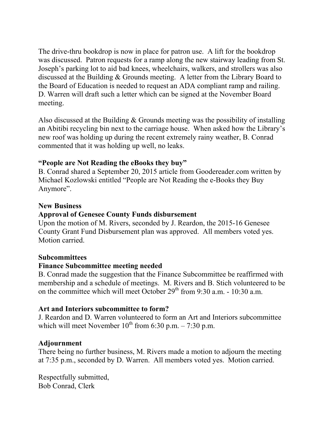The drive-thru bookdrop is now in place for patron use. A lift for the bookdrop was discussed. Patron requests for a ramp along the new stairway leading from St. Joseph's parking lot to aid bad knees, wheelchairs, walkers, and strollers was also discussed at the Building & Grounds meeting. A letter from the Library Board to the Board of Education is needed to request an ADA compliant ramp and railing. D. Warren will draft such a letter which can be signed at the November Board meeting.

Also discussed at the Building & Grounds meeting was the possibility of installing an Abitibi recycling bin next to the carriage house. When asked how the Library's new roof was holding up during the recent extremely rainy weather, B. Conrad commented that it was holding up well, no leaks.

## **"People are Not Reading the eBooks they buy"**

B. Conrad shared a September 20, 2015 article from Goodereader.com written by Michael Kozlowski entitled "People are Not Reading the e-Books they Buy Anymore".

### **New Business**

### **Approval of Genesee County Funds disbursement**

Upon the motion of M. Rivers, seconded by J. Reardon, the 2015-16 Genesee County Grant Fund Disbursement plan was approved. All members voted yes. Motion carried.

### **Subcommittees**

## **Finance Subcommittee meeting needed**

B. Conrad made the suggestion that the Finance Subcommittee be reaffirmed with membership and a schedule of meetings. M. Rivers and B. Stich volunteered to be on the committee which will meet October 29<sup>th</sup> from 9:30 a.m. - 10:30 a.m.

## **Art and Interiors subcommittee to form?**

J. Reardon and D. Warren volunteered to form an Art and Interiors subcommittee which will meet November  $10^{th}$  from 6:30 p.m. – 7:30 p.m.

## **Adjournment**

There being no further business, M. Rivers made a motion to adjourn the meeting at 7:35 p.m., seconded by D. Warren. All members voted yes. Motion carried.

Respectfully submitted, Bob Conrad, Clerk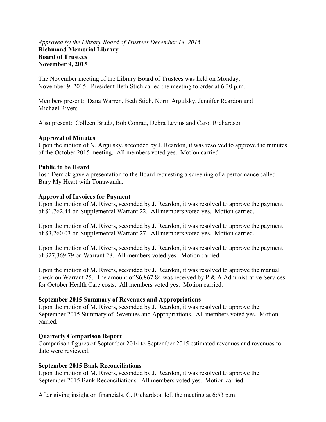### *Approved by the Library Board of Trustees December 14, 2015*  **Richmond Memorial Library Board of Trustees November 9, 2015**

The November meeting of the Library Board of Trustees was held on Monday, November 9, 2015. President Beth Stich called the meeting to order at 6:30 p.m.

Members present: Dana Warren, Beth Stich, Norm Argulsky, Jennifer Reardon and Michael Rivers

Also present: Colleen Brudz, Bob Conrad, Debra Levins and Carol Richardson

### **Approval of Minutes**

Upon the motion of N. Argulsky, seconded by J. Reardon, it was resolved to approve the minutes of the October 2015 meeting. All members voted yes. Motion carried.

### **Public to be Heard**

Josh Derrick gave a presentation to the Board requesting a screening of a performance called Bury My Heart with Tonawanda.

### **Approval of Invoices for Payment**

Upon the motion of M. Rivers, seconded by J. Reardon, it was resolved to approve the payment of \$1,762.44 on Supplemental Warrant 22. All members voted yes. Motion carried.

Upon the motion of M. Rivers, seconded by J. Reardon, it was resolved to approve the payment of \$3,260.03 on Supplemental Warrant 27. All members voted yes. Motion carried.

Upon the motion of M. Rivers, seconded by J. Reardon, it was resolved to approve the payment of \$27,369.79 on Warrant 28. All members voted yes. Motion carried.

Upon the motion of M. Rivers, seconded by J. Reardon, it was resolved to approve the manual check on Warrant 25. The amount of  $$6,867.84$  was received by P & A Administrative Services for October Health Care costs. All members voted yes. Motion carried.

### **September 2015 Summary of Revenues and Appropriations**

Upon the motion of M. Rivers, seconded by J. Reardon, it was resolved to approve the September 2015 Summary of Revenues and Appropriations. All members voted yes. Motion carried.

### **Quarterly Comparison Report**

Comparison figures of September 2014 to September 2015 estimated revenues and revenues to date were reviewed.

### **September 2015 Bank Reconciliations**

Upon the motion of M. Rivers, seconded by J. Reardon, it was resolved to approve the September 2015 Bank Reconciliations. All members voted yes. Motion carried.

After giving insight on financials, C. Richardson left the meeting at 6:53 p.m.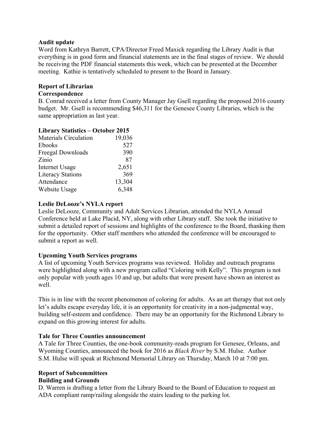### **Audit update**

Word from Kathryn Barrett, CPA/Director Freed Maxick regarding the Library Audit is that everything is in good form and financial statements are in the final stages of review. We should be receiving the PDF financial statements this week, which can be presented at the December meeting. Kathie is tentatively scheduled to present to the Board in January.

### **Report of Librarian**

#### **Correspondence**

B. Conrad received a letter from County Manager Jay Gsell regarding the proposed 2016 county budget. Mr. Gsell is recommending \$46,311 for the Genesee County Libraries, which is the same appropriation as last year.

### **Library Statistics – October 2015**

| <b>Materials Circulation</b> | 19,036 |
|------------------------------|--------|
| Ebooks                       | 527    |
| Freegal Downloads            | 390    |
| Zinio                        | 87     |
| <b>Internet Usage</b>        | 2,651  |
| <b>Literacy Stations</b>     | 369    |
| Attendance                   | 13,304 |
| Website Usage                | 6,348  |
|                              |        |

### **Leslie DeLooze's NYLA report**

Leslie DeLooze, Community and Adult Services Librarian, attended the NYLA Annual Conference held at Lake Placid, NY, along with other Library staff. She took the initiative to submit a detailed report of sessions and highlights of the conference to the Board, thanking them for the opportunity. Other staff members who attended the conference will be encouraged to submit a report as well.

### **Upcoming Youth Services programs**

A list of upcoming Youth Services programs was reviewed. Holiday and outreach programs were highlighted along with a new program called "Coloring with Kelly". This program is not only popular with youth ages 10 and up, but adults that were present have shown an interest as well.

This is in line with the recent phenomenon of coloring for adults. As an art therapy that not only let's adults escape everyday life, it is an opportunity for creativity in a non-judgmental way, building self-esteem and confidence. There may be an opportunity for the Richmond Library to expand on this growing interest for adults.

### **Tale for Three Counties announcement**

A Tale for Three Counties, the one-book community-reads program for Genesee, Orleans, and Wyoming Counties, announced the book for 2016 as *Black River* by S.M. Hulse. Author S.M. Hulse will speak at Richmond Memorial Library on Thursday, March 10 at 7:00 pm.

# **Report of Subcommittees**

### **Building and Grounds**

D. Warren is drafting a letter from the Library Board to the Board of Education to request an ADA compliant ramp/railing alongside the stairs leading to the parking lot.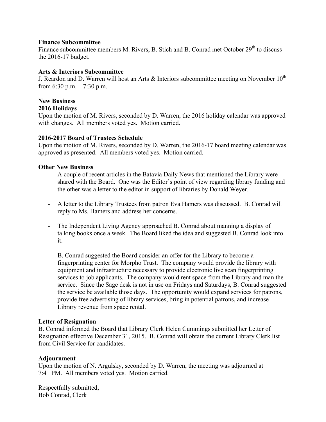### **Finance Subcommittee**

Finance subcommittee members M. Rivers, B. Stich and B. Conrad met October 29<sup>th</sup> to discuss the 2016-17 budget.

### **Arts & Interiors Subcommittee**

J. Reardon and D. Warren will host an Arts & Interiors subcommittee meeting on November  $10^{th}$ from 6:30 p.m.  $- 7:30$  p.m.

#### **New Business 2016 Holidays**

Upon the motion of M. Rivers, seconded by D. Warren, the 2016 holiday calendar was approved with changes. All members voted yes. Motion carried.

### **2016-2017 Board of Trustees Schedule**

Upon the motion of M. Rivers, seconded by D. Warren, the 2016-17 board meeting calendar was approved as presented. All members voted yes. Motion carried.

### **Other New Business**

- A couple of recent articles in the Batavia Daily News that mentioned the Library were shared with the Board. One was the Editor's point of view regarding library funding and the other was a letter to the editor in support of libraries by Donald Weyer.
- A letter to the Library Trustees from patron Eva Hamers was discussed. B. Conrad will reply to Ms. Hamers and address her concerns.
- The Independent Living Agency approached B. Conrad about manning a display of talking books once a week. The Board liked the idea and suggested B. Conrad look into it.
- B. Conrad suggested the Board consider an offer for the Library to become a fingerprinting center for Morpho Trust. The company would provide the library with equipment and infrastructure necessary to provide electronic live scan fingerprinting services to job applicants. The company would rent space from the Library and man the service. Since the Sage desk is not in use on Fridays and Saturdays, B. Conrad suggested the service be available those days. The opportunity would expand services for patrons, provide free advertising of library services, bring in potential patrons, and increase Library revenue from space rental.

### **Letter of Resignation**

B. Conrad informed the Board that Library Clerk Helen Cummings submitted her Letter of Resignation effective December 31, 2015. B. Conrad will obtain the current Library Clerk list from Civil Service for candidates.

### **Adjournment**

Upon the motion of N. Argulsky, seconded by D. Warren, the meeting was adjourned at 7:41 PM. All members voted yes. Motion carried.

Respectfully submitted, Bob Conrad, Clerk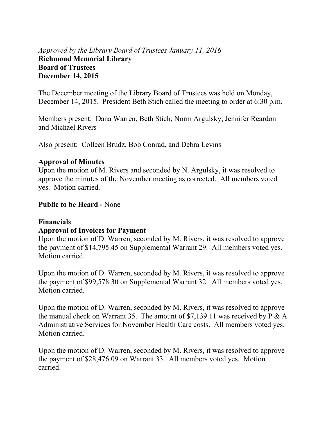## *Approved by the Library Board of Trustees January 11, 2016*  **Richmond Memorial Library Board of Trustees December 14, 2015**

The December meeting of the Library Board of Trustees was held on Monday, December 14, 2015. President Beth Stich called the meeting to order at 6:30 p.m.

Members present: Dana Warren, Beth Stich, Norm Argulsky, Jennifer Reardon and Michael Rivers

Also present: Colleen Brudz, Bob Conrad, and Debra Levins

## **Approval of Minutes**

Upon the motion of M. Rivers and seconded by N. Argulsky, it was resolved to approve the minutes of the November meeting as corrected. All members voted yes. Motion carried.

## **Public to be Heard -** None

## **Financials**

## **Approval of Invoices for Payment**

Upon the motion of D. Warren, seconded by M. Rivers, it was resolved to approve the payment of \$14,795.45 on Supplemental Warrant 29. All members voted yes. Motion carried.

Upon the motion of D. Warren, seconded by M. Rivers, it was resolved to approve the payment of \$99,578.30 on Supplemental Warrant 32. All members voted yes. Motion carried.

Upon the motion of D. Warren, seconded by M. Rivers, it was resolved to approve the manual check on Warrant 35. The amount of \$7,139.11 was received by P & A Administrative Services for November Health Care costs. All members voted yes. Motion carried.

Upon the motion of D. Warren, seconded by M. Rivers, it was resolved to approve the payment of \$28,476.09 on Warrant 33. All members voted yes. Motion carried.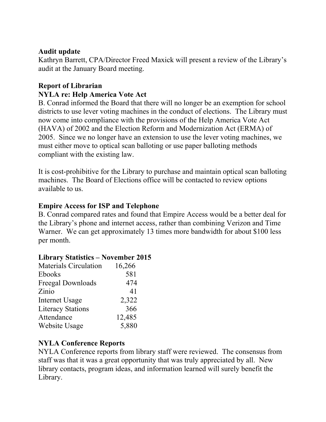## **Audit update**

Kathryn Barrett, CPA/Director Freed Maxick will present a review of the Library's audit at the January Board meeting.

## **Report of Librarian NYLA re: Help America Vote Act**

B. Conrad informed the Board that there will no longer be an exemption for school districts to use lever voting machines in the conduct of elections. The Library must now come into compliance with the provisions of the Help America Vote Act (HAVA) of 2002 and the Election Reform and Modernization Act (ERMA) of 2005. Since we no longer have an extension to use the lever voting machines, we must either move to optical scan balloting or use paper balloting methods compliant with the existing law.

It is cost-prohibitive for the Library to purchase and maintain optical scan balloting machines. The Board of Elections office will be contacted to review options available to us.

## **Empire Access for ISP and Telephone**

B. Conrad compared rates and found that Empire Access would be a better deal for the Library's phone and internet access, rather than combining Verizon and Time Warner. We can get approximately 13 times more bandwidth for about \$100 less per month.

## **Library Statistics – November 2015**

| <b>Materials Circulation</b> | 16,266 |
|------------------------------|--------|
| <b>Ebooks</b>                | 581    |
| Freegal Downloads            | 474    |
| Zinio                        | 41     |
| <b>Internet Usage</b>        | 2,322  |
| <b>Literacy Stations</b>     | 366    |
| Attendance                   | 12,485 |
| Website Usage                | 5,880  |

## **NYLA Conference Reports**

NYLA Conference reports from library staff were reviewed. The consensus from staff was that it was a great opportunity that was truly appreciated by all. New library contacts, program ideas, and information learned will surely benefit the Library.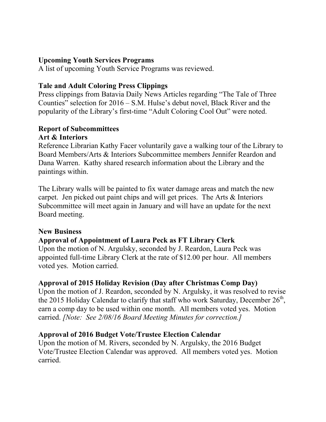## **Upcoming Youth Services Programs**

A list of upcoming Youth Service Programs was reviewed.

## **Tale and Adult Coloring Press Clippings**

Press clippings from Batavia Daily News Articles regarding "The Tale of Three Counties" selection for 2016 – S.M. Hulse's debut novel, Black River and the popularity of the Library's first-time "Adult Coloring Cool Out" were noted.

# **Report of Subcommittees**

## **Art & Interiors**

Reference Librarian Kathy Facer voluntarily gave a walking tour of the Library to Board Members/Arts & Interiors Subcommittee members Jennifer Reardon and Dana Warren. Kathy shared research information about the Library and the paintings within.

The Library walls will be painted to fix water damage areas and match the new carpet. Jen picked out paint chips and will get prices. The Arts & Interiors Subcommittee will meet again in January and will have an update for the next Board meeting.

## **New Business**

## **Approval of Appointment of Laura Peck as FT Library Clerk**

Upon the motion of N. Argulsky, seconded by J. Reardon, Laura Peck was appointed full-time Library Clerk at the rate of \$12.00 per hour. All members voted yes. Motion carried.

## **Approval of 2015 Holiday Revision (Day after Christmas Comp Day)**

Upon the motion of J. Reardon, seconded by N. Argulsky, it was resolved to revise the 2015 Holiday Calendar to clarify that staff who work Saturday, December  $26<sup>th</sup>$ , earn a comp day to be used within one month. All members voted yes. Motion carried. *[Note: See 2/08/16 Board Meeting Minutes for correction.]*

## **Approval of 2016 Budget Vote/Trustee Election Calendar**

Upon the motion of M. Rivers, seconded by N. Argulsky, the 2016 Budget Vote/Trustee Election Calendar was approved. All members voted yes. Motion carried.